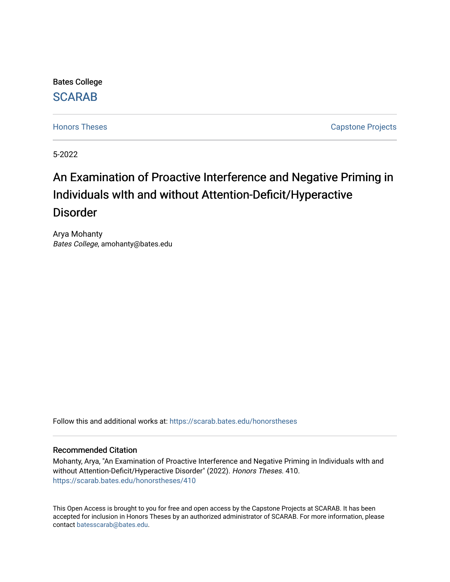Bates College

## [SCARAB](https://scarab.bates.edu/)

[Honors Theses](https://scarab.bates.edu/honorstheses) **Capstone Projects** 

5-2022

# An Examination of Proactive Interference and Negative Priming in Individuals wIth and without Attention-Deficit/Hyperactive Disorder

Arya Mohanty Bates College, amohanty@bates.edu

Follow this and additional works at: [https://scarab.bates.edu/honorstheses](https://scarab.bates.edu/honorstheses?utm_source=scarab.bates.edu%2Fhonorstheses%2F410&utm_medium=PDF&utm_campaign=PDFCoverPages) 

## Recommended Citation

Mohanty, Arya, "An Examination of Proactive Interference and Negative Priming in Individuals wIth and without Attention-Deficit/Hyperactive Disorder" (2022). Honors Theses. 410. [https://scarab.bates.edu/honorstheses/410](https://scarab.bates.edu/honorstheses/410?utm_source=scarab.bates.edu%2Fhonorstheses%2F410&utm_medium=PDF&utm_campaign=PDFCoverPages) 

This Open Access is brought to you for free and open access by the Capstone Projects at SCARAB. It has been accepted for inclusion in Honors Theses by an authorized administrator of SCARAB. For more information, please contact [batesscarab@bates.edu](mailto:batesscarab@bates.edu).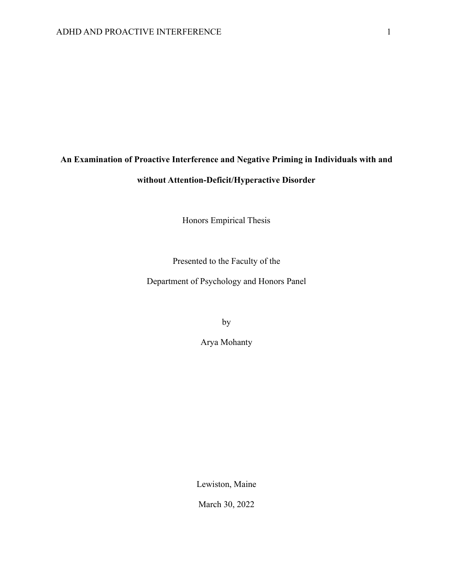# **An Examination of Proactive Interference and Negative Priming in Individuals with and without Attention-Deficit/Hyperactive Disorder**

Honors Empirical Thesis

Presented to the Faculty of the

Department of Psychology and Honors Panel

by

Arya Mohanty

Lewiston, Maine

March 30, 2022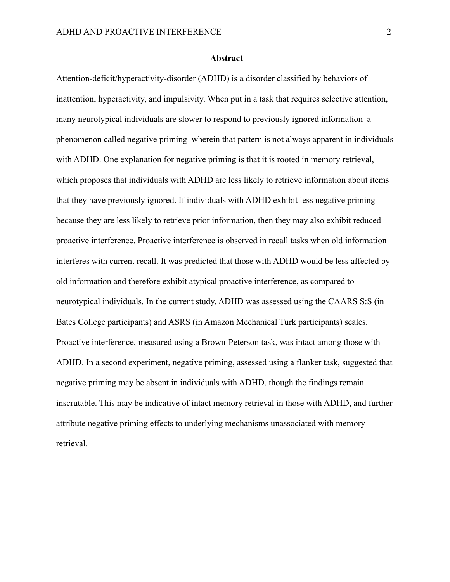#### **Abstract**

Attention-deficit/hyperactivity-disorder (ADHD) is a disorder classified by behaviors of inattention, hyperactivity, and impulsivity. When put in a task that requires selective attention, many neurotypical individuals are slower to respond to previously ignored information–a phenomenon called negative priming–wherein that pattern is not always apparent in individuals with ADHD. One explanation for negative priming is that it is rooted in memory retrieval, which proposes that individuals with ADHD are less likely to retrieve information about items that they have previously ignored. If individuals with ADHD exhibit less negative priming because they are less likely to retrieve prior information, then they may also exhibit reduced proactive interference. Proactive interference is observed in recall tasks when old information interferes with current recall. It was predicted that those with ADHD would be less affected by old information and therefore exhibit atypical proactive interference, as compared to neurotypical individuals. In the current study, ADHD was assessed using the CAARS S:S (in Bates College participants) and ASRS (in Amazon Mechanical Turk participants) scales. Proactive interference, measured using a Brown-Peterson task, was intact among those with ADHD. In a second experiment, negative priming, assessed using a flanker task, suggested that negative priming may be absent in individuals with ADHD, though the findings remain inscrutable. This may be indicative of intact memory retrieval in those with ADHD, and further attribute negative priming effects to underlying mechanisms unassociated with memory retrieval.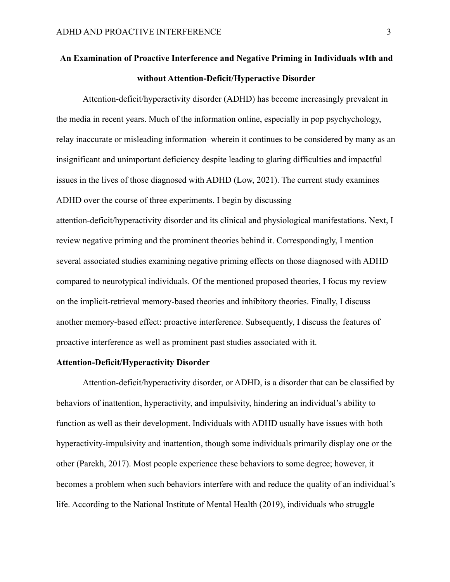## **An Examination of Proactive Interference and Negative Priming in Individuals wIth and without Attention-Deficit/Hyperactive Disorder**

Attention-deficit/hyperactivity disorder (ADHD) has become increasingly prevalent in the media in recent years. Much of the information online, especially in pop psychychology, relay inaccurate or misleading information–wherein it continues to be considered by many as an insignificant and unimportant deficiency despite leading to glaring difficulties and impactful issues in the lives of those diagnosed with ADHD (Low, 2021). The current study examines ADHD over the course of three experiments. I begin by discussing attention-deficit/hyperactivity disorder and its clinical and physiological manifestations. Next, I review negative priming and the prominent theories behind it. Correspondingly, I mention several associated studies examining negative priming effects on those diagnosed with ADHD compared to neurotypical individuals. Of the mentioned proposed theories, I focus my review on the implicit-retrieval memory-based theories and inhibitory theories. Finally, I discuss another memory-based effect: proactive interference. Subsequently, I discuss the features of proactive interference as well as prominent past studies associated with it.

## **Attention-Deficit/Hyperactivity Disorder**

Attention-deficit/hyperactivity disorder, or ADHD, is a disorder that can be classified by behaviors of inattention, hyperactivity, and impulsivity, hindering an individual's ability to function as well as their development. Individuals with ADHD usually have issues with both hyperactivity-impulsivity and inattention, though some individuals primarily display one or the other (Parekh, 2017). Most people experience these behaviors to some degree; however, it becomes a problem when such behaviors interfere with and reduce the quality of an individual's life. According to the National Institute of Mental Health (2019), individuals who struggle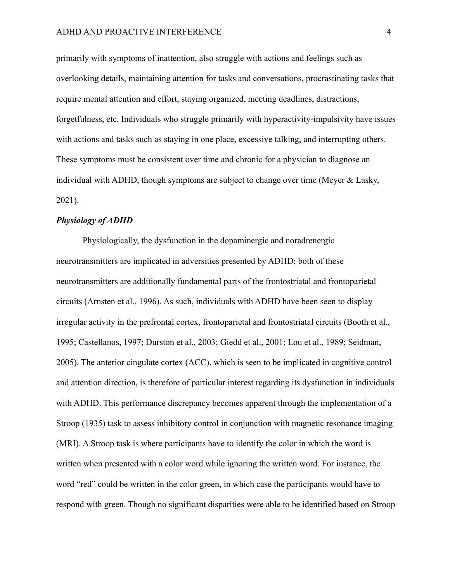primarily with symptoms of inattention, also struggle with actions and feelings such as overlooking details, maintaining attention for tasks and conversations, procrastinating tasks that require mental attention and effort, staying organized, meeting deadlines, distractions, forgetfulness, etc. Individuals who struggle primarily with hyperactivity-impulsivity have issues with actions and tasks such as staying in one place, excessive talking, and interrupting others. These symptoms must be consistent over time and chronic for a physician to diagnose an individual with ADHD, though symptoms are subject to change over time (Meyer & Lasky, 2021).

## *Physiology of ADHD*

Physiologically, the dysfunction in the dopaminergic and noradrenergic neurotransmitters are implicated in adversities presented by ADHD; both of these neurotransmitters are additionally fundamental parts of the frontostriatal and frontoparietal circuits (Arnsten et al., 1996). As such, individuals with ADHD have been seen to display irregular activity in the prefrontal cortex, frontoparietal and frontostriatal circuits (Booth et al., 1995; Castellanos, 1997; Durston et al., 2003; Giedd et al., 2001; Lou et al., 1989; Seidman, 2005). The anterior cingulate cortex (ACC), which is seen to be implicated in cognitive control and attention direction, is therefore of particular interest regarding its dysfunction in individuals with ADHD. This performance discrepancy becomes apparent through the implementation of a Stroop (1935) task to assess inhibitory control in conjunction with magnetic resonance imaging (MRI). A Stroop task is where participants have to identify the color in which the word is written when presented with a color word while ignoring the written word. For instance, the word "red" could be written in the color green, in which case the participants would have to respond with green. Though no significant disparities were able to be identified based on Stroop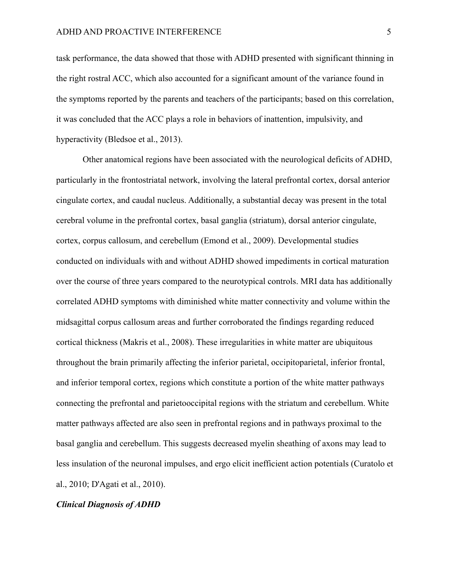task performance, the data showed that those with ADHD presented with significant thinning in the right rostral ACC, which also accounted for a significant amount of the variance found in the symptoms reported by the parents and teachers of the participants; based on this correlation, it was concluded that the ACC plays a role in behaviors of inattention, impulsivity, and hyperactivity (Bledsoe et al., 2013).

Other anatomical regions have been associated with the neurological deficits of ADHD, particularly in the frontostriatal network, involving the lateral prefrontal cortex, dorsal anterior cingulate cortex, and caudal nucleus. Additionally, a substantial decay was present in the total cerebral volume in the prefrontal cortex, basal ganglia (striatum), dorsal anterior cingulate, cortex, corpus callosum, and cerebellum (Emond et al., 2009). Developmental studies conducted on individuals with and without ADHD showed impediments in cortical maturation over the course of three years compared to the neurotypical controls. MRI data has additionally correlated ADHD symptoms with diminished white matter connectivity and volume within the midsagittal corpus callosum areas and further corroborated the findings regarding reduced cortical thickness (Makris et al., 2008). These irregularities in white matter are ubiquitous throughout the brain primarily affecting the inferior parietal, occipitoparietal, inferior frontal, and inferior temporal cortex, regions which constitute a portion of the white matter pathways connecting the prefrontal and parietooccipital regions with the striatum and cerebellum. White matter pathways affected are also seen in prefrontal regions and in pathways proximal to the basal ganglia and cerebellum. This suggests decreased myelin sheathing of axons may lead to less insulation of the neuronal impulses, and ergo elicit inefficient action potentials (Curatolo et al., 2010; D'Agati et al., 2010).

#### *Clinical Diagnosis of ADHD*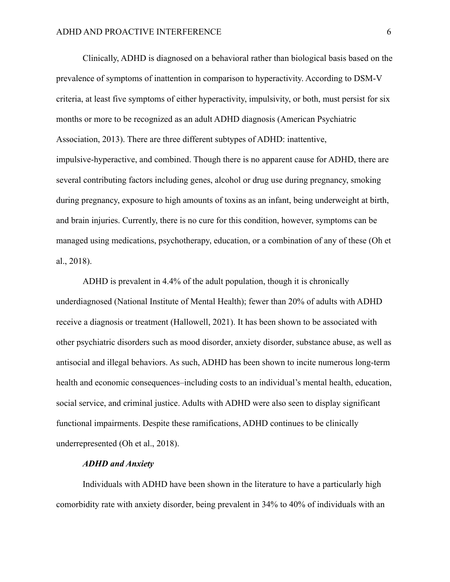Clinically, ADHD is diagnosed on a behavioral rather than biological basis based on the prevalence of symptoms of inattention in comparison to hyperactivity. According to DSM-V criteria, at least five symptoms of either hyperactivity, impulsivity, or both, must persist for six months or more to be recognized as an adult ADHD diagnosis (American Psychiatric Association, 2013). There are three different subtypes of ADHD: inattentive, impulsive-hyperactive, and combined. Though there is no apparent cause for ADHD, there are several contributing factors including genes, alcohol or drug use during pregnancy, smoking during pregnancy, exposure to high amounts of toxins as an infant, being underweight at birth, and brain injuries. Currently, there is no cure for this condition, however, symptoms can be managed using medications, psychotherapy, education, or a combination of any of these (Oh et al., 2018).

ADHD is prevalent in 4.4% of the adult population, though it is chronically underdiagnosed (National Institute of Mental Health); fewer than 20% of adults with ADHD receive a diagnosis or treatment (Hallowell, 2021). It has been shown to be associated with other psychiatric disorders such as mood disorder, anxiety disorder, substance abuse, as well as antisocial and illegal behaviors. As such, ADHD has been shown to incite numerous long-term health and economic consequences–including costs to an individual's mental health, education, social service, and criminal justice. Adults with ADHD were also seen to display significant functional impairments. Despite these ramifications, ADHD continues to be clinically underrepresented (Oh et al., 2018).

## *ADHD and Anxiety*

Individuals with ADHD have been shown in the literature to have a particularly high comorbidity rate with anxiety disorder, being prevalent in 34% to 40% of individuals with an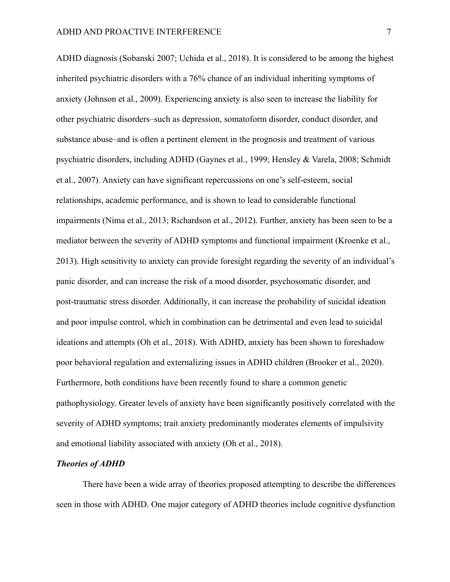ADHD diagnosis (Sobanski 2007; Uchida et al., 2018). It is considered to be among the highest inherited psychiatric disorders with a 76% chance of an individual inheriting symptoms of anxiety (Johnson et al., 2009). Experiencing anxiety is also seen to increase the liability for other psychiatric disorders–such as depression, somatoform disorder, conduct disorder, and substance abuse–and is often a pertinent element in the prognosis and treatment of various psychiatric disorders, including ADHD (Gaynes et al., 1999; Hensley & Varela, 2008; Schmidt et al., 2007). Anxiety can have significant repercussions on one's self-esteem, social relationships, academic performance, and is shown to lead to considerable functional impairments (Nima et al., 2013; Richardson et al., 2012). Further, anxiety has been seen to be a mediator between the severity of ADHD symptoms and functional impairment (Kroenke et al., 2013). High sensitivity to anxiety can provide foresight regarding the severity of an individual's panic disorder, and can increase the risk of a mood disorder, psychosomatic disorder, and post-traumatic stress disorder. Additionally, it can increase the probability of suicidal ideation and poor impulse control, which in combination can be detrimental and even lead to suicidal ideations and attempts (Oh et al., 2018). With ADHD, anxiety has been shown to foreshadow poor behavioral regulation and externalizing issues in ADHD children (Brooker et al., 2020). Furthermore, both conditions have been recently found to share a common genetic pathophysiology. Greater levels of anxiety have been significantly positively correlated with the severity of ADHD symptoms; trait anxiety predominantly moderates elements of impulsivity and emotional liability associated with anxiety (Oh et al., 2018).

#### *Theories of ADHD*

There have been a wide array of theories proposed attempting to describe the differences seen in those with ADHD. One major category of ADHD theories include cognitive dysfunction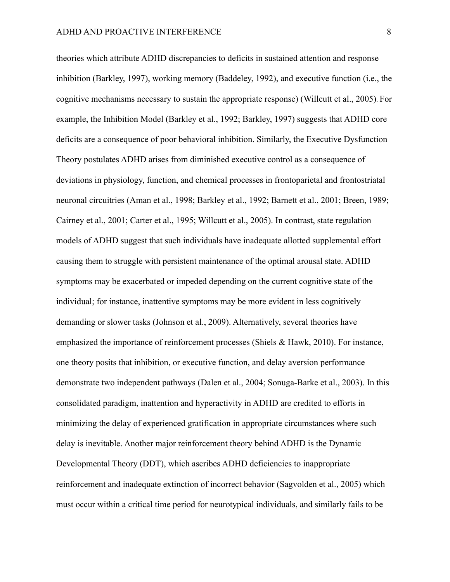theories which attribute ADHD discrepancies to deficits in sustained attention and response inhibition (Barkley, 1997), working memory (Baddeley, 1992), and executive function (i.e., the cognitive mechanisms necessary to sustain the appropriate response) (Willcutt et al., 2005). For example, the Inhibition Model (Barkley et al., 1992; Barkley, 1997) suggests that ADHD core deficits are a consequence of poor behavioral inhibition. Similarly, the Executive Dysfunction Theory postulates ADHD arises from diminished executive control as a consequence of deviations in physiology, function, and chemical processes in frontoparietal and frontostriatal neuronal circuitries (Aman et al., 1998; Barkley et al., 1992; Barnett et al., 2001; Breen, 1989; Cairney et al., 2001; Carter et al., 1995; Willcutt et al., 2005). In contrast, state regulation models of ADHD suggest that such individuals have inadequate allotted supplemental effort causing them to struggle with persistent maintenance of the optimal arousal state. ADHD symptoms may be exacerbated or impeded depending on the current cognitive state of the individual; for instance, inattentive symptoms may be more evident in less cognitively demanding or slower tasks (Johnson et al., 2009). Alternatively, several theories have emphasized the importance of reinforcement processes (Shiels & Hawk, 2010). For instance, one theory posits that inhibition, or executive function, and delay aversion performance demonstrate two independent pathways (Dalen et al., 2004; Sonuga-Barke et al., 2003). In this consolidated paradigm, inattention and hyperactivity in ADHD are credited to efforts in minimizing the delay of experienced gratification in appropriate circumstances where such delay is inevitable. Another major reinforcement theory behind ADHD is the Dynamic Developmental Theory (DDT), which ascribes ADHD deficiencies to inappropriate reinforcement and inadequate extinction of incorrect behavior (Sagvolden et al., 2005) which must occur within a critical time period for neurotypical individuals, and similarly fails to be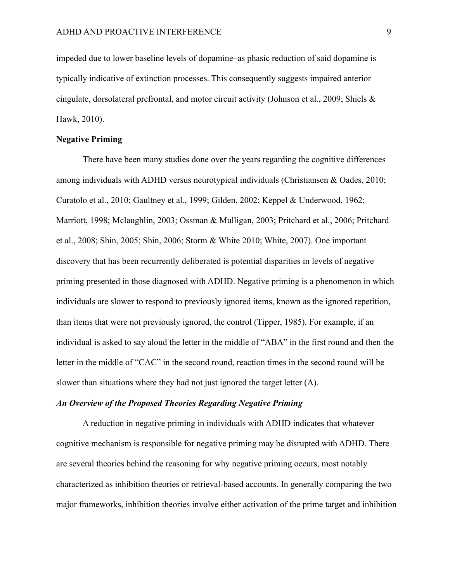impeded due to lower baseline levels of dopamine–as phasic reduction of said dopamine is typically indicative of extinction processes. This consequently suggests impaired anterior cingulate, dorsolateral prefrontal, and motor circuit activity (Johnson et al., 2009; Shiels & Hawk, 2010).

#### **Negative Priming**

There have been many studies done over the years regarding the cognitive differences among individuals with ADHD versus neurotypical individuals (Christiansen & Oades, 2010; Curatolo et al., 2010; Gaultney et al., 1999; Gilden, 2002; Keppel & Underwood, 1962; Marriott, 1998; Mclaughlin, 2003; Ossman & Mulligan, 2003; Pritchard et al., 2006; Pritchard et al., 2008; Shin, 2005; Shin, 2006; Storm & White 2010; White, 2007). One important discovery that has been recurrently deliberated is potential disparities in levels of negative priming presented in those diagnosed with ADHD. Negative priming is a phenomenon in which individuals are slower to respond to previously ignored items, known as the ignored repetition, than items that were not previously ignored, the control (Tipper, 1985). For example, if an individual is asked to say aloud the letter in the middle of "ABA" in the first round and then the letter in the middle of "CAC" in the second round, reaction times in the second round will be slower than situations where they had not just ignored the target letter (A).

### *An Overview of the Proposed Theories Regarding Negative Priming*

A reduction in negative priming in individuals with ADHD indicates that whatever cognitive mechanism is responsible for negative priming may be disrupted with ADHD. There are several theories behind the reasoning for why negative priming occurs, most notably characterized as inhibition theories or retrieval-based accounts. In generally comparing the two major frameworks, inhibition theories involve either activation of the prime target and inhibition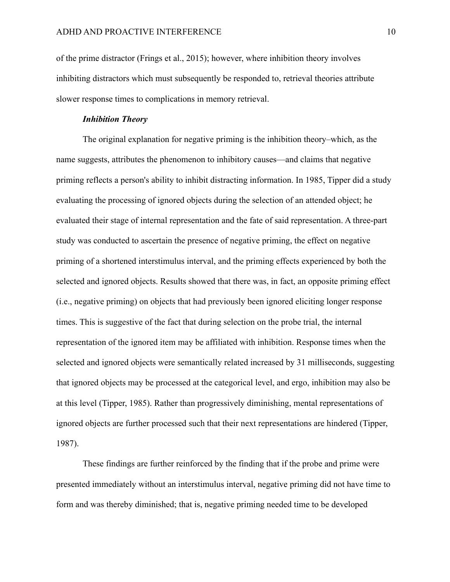of the prime distractor (Frings et al., 2015); however, where inhibition theory involves inhibiting distractors which must subsequently be responded to, retrieval theories attribute slower response times to complications in memory retrieval.

## *Inhibition Theory*

The original explanation for negative priming is the inhibition theory–which, as the name suggests, attributes the phenomenon to inhibitory causes—and claims that negative priming reflects a person's ability to inhibit distracting information. In 1985, Tipper did a study evaluating the processing of ignored objects during the selection of an attended object; he evaluated their stage of internal representation and the fate of said representation. A three-part study was conducted to ascertain the presence of negative priming, the effect on negative priming of a shortened interstimulus interval, and the priming effects experienced by both the selected and ignored objects. Results showed that there was, in fact, an opposite priming effect (i.e., negative priming) on objects that had previously been ignored eliciting longer response times. This is suggestive of the fact that during selection on the probe trial, the internal representation of the ignored item may be affiliated with inhibition. Response times when the selected and ignored objects were semantically related increased by 31 milliseconds, suggesting that ignored objects may be processed at the categorical level, and ergo, inhibition may also be at this level (Tipper, 1985). Rather than progressively diminishing, mental representations of ignored objects are further processed such that their next representations are hindered (Tipper, 1987).

These findings are further reinforced by the finding that if the probe and prime were presented immediately without an interstimulus interval, negative priming did not have time to form and was thereby diminished; that is, negative priming needed time to be developed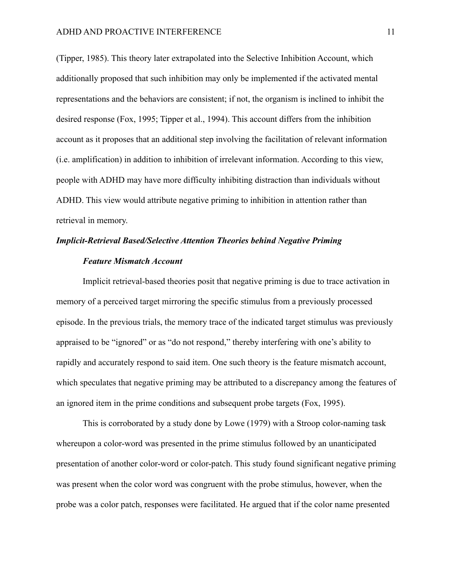(Tipper, 1985). This theory later extrapolated into the Selective Inhibition Account, which additionally proposed that such inhibition may only be implemented if the activated mental representations and the behaviors are consistent; if not, the organism is inclined to inhibit the desired response (Fox, 1995; Tipper et al., 1994). This account differs from the inhibition account as it proposes that an additional step involving the facilitation of relevant information (i.e. amplification) in addition to inhibition of irrelevant information. According to this view, people with ADHD may have more difficulty inhibiting distraction than individuals without ADHD. This view would attribute negative priming to inhibition in attention rather than retrieval in memory.

## *Implicit-Retrieval Based/Selective Attention Theories behind Negative Priming Feature Mismatch Account*

Implicit retrieval-based theories posit that negative priming is due to trace activation in memory of a perceived target mirroring the specific stimulus from a previously processed episode. In the previous trials, the memory trace of the indicated target stimulus was previously appraised to be "ignored" or as "do not respond," thereby interfering with one's ability to rapidly and accurately respond to said item. One such theory is the feature mismatch account, which speculates that negative priming may be attributed to a discrepancy among the features of an ignored item in the prime conditions and subsequent probe targets (Fox, 1995).

This is corroborated by a study done by Lowe (1979) with a Stroop color-naming task whereupon a color-word was presented in the prime stimulus followed by an unanticipated presentation of another color-word or color-patch. This study found significant negative priming was present when the color word was congruent with the probe stimulus, however, when the probe was a color patch, responses were facilitated. He argued that if the color name presented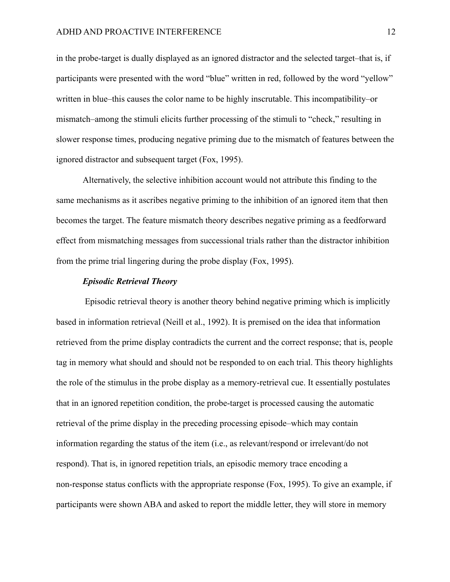in the probe-target is dually displayed as an ignored distractor and the selected target–that is, if participants were presented with the word "blue" written in red, followed by the word "yellow" written in blue–this causes the color name to be highly inscrutable. This incompatibility–or mismatch–among the stimuli elicits further processing of the stimuli to "check," resulting in slower response times, producing negative priming due to the mismatch of features between the ignored distractor and subsequent target (Fox, 1995).

Alternatively, the selective inhibition account would not attribute this finding to the same mechanisms as it ascribes negative priming to the inhibition of an ignored item that then becomes the target. The feature mismatch theory describes negative priming as a feedforward effect from mismatching messages from successional trials rather than the distractor inhibition from the prime trial lingering during the probe display (Fox, 1995).

#### *Episodic Retrieval Theory*

Episodic retrieval theory is another theory behind negative priming which is implicitly based in information retrieval (Neill et al., 1992). It is premised on the idea that information retrieved from the prime display contradicts the current and the correct response; that is, people tag in memory what should and should not be responded to on each trial. This theory highlights the role of the stimulus in the probe display as a memory-retrieval cue. It essentially postulates that in an ignored repetition condition, the probe-target is processed causing the automatic retrieval of the prime display in the preceding processing episode–which may contain information regarding the status of the item (i.e., as relevant/respond or irrelevant/do not respond). That is, in ignored repetition trials, an episodic memory trace encoding a non-response status conflicts with the appropriate response (Fox, 1995). To give an example, if participants were shown ABA and asked to report the middle letter, they will store in memory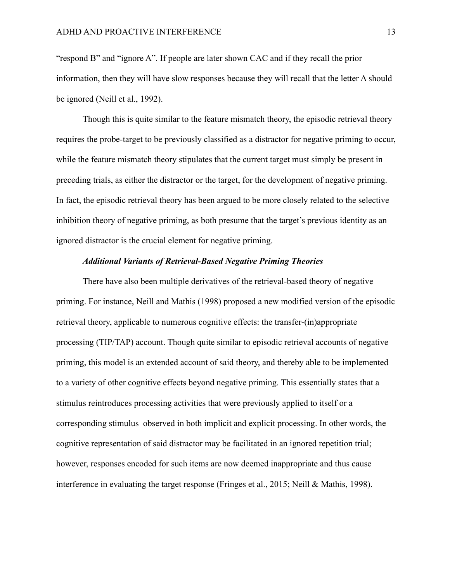"respond B" and "ignore A". If people are later shown CAC and if they recall the prior information, then they will have slow responses because they will recall that the letter A should be ignored (Neill et al., 1992).

Though this is quite similar to the feature mismatch theory, the episodic retrieval theory requires the probe-target to be previously classified as a distractor for negative priming to occur, while the feature mismatch theory stipulates that the current target must simply be present in preceding trials, as either the distractor or the target, for the development of negative priming. In fact, the episodic retrieval theory has been argued to be more closely related to the selective inhibition theory of negative priming, as both presume that the target's previous identity as an ignored distractor is the crucial element for negative priming.

#### *Additional Variants of Retrieval-Based Negative Priming Theories*

There have also been multiple derivatives of the retrieval-based theory of negative priming. For instance, Neill and Mathis (1998) proposed a new modified version of the episodic retrieval theory, applicable to numerous cognitive effects: the transfer-(in)appropriate processing (TIP/TAP) account. Though quite similar to episodic retrieval accounts of negative priming, this model is an extended account of said theory, and thereby able to be implemented to a variety of other cognitive effects beyond negative priming. This essentially states that a stimulus reintroduces processing activities that were previously applied to itself or a corresponding stimulus–observed in both implicit and explicit processing. In other words, the cognitive representation of said distractor may be facilitated in an ignored repetition trial; however, responses encoded for such items are now deemed inappropriate and thus cause interference in evaluating the target response (Fringes et al., 2015; Neill & Mathis, 1998).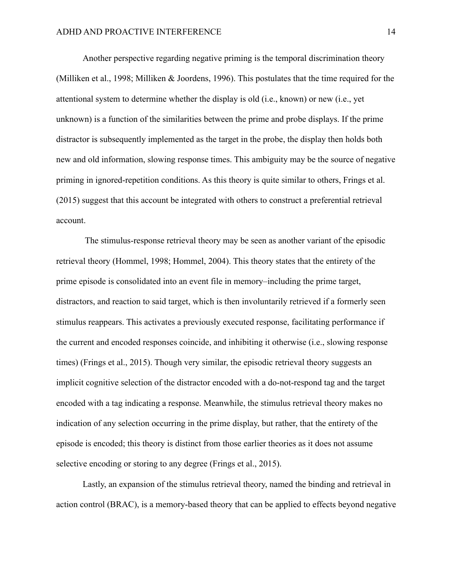Another perspective regarding negative priming is the temporal discrimination theory (Milliken et al., 1998; Milliken & Joordens, 1996). This postulates that the time required for the attentional system to determine whether the display is old (i.e., known) or new (i.e., yet unknown) is a function of the similarities between the prime and probe displays. If the prime distractor is subsequently implemented as the target in the probe, the display then holds both new and old information, slowing response times. This ambiguity may be the source of negative priming in ignored-repetition conditions. As this theory is quite similar to others, Frings et al. (2015) suggest that this account be integrated with others to construct a preferential retrieval account.

The stimulus-response retrieval theory may be seen as another variant of the episodic retrieval theory (Hommel, 1998; Hommel, 2004). This theory states that the entirety of the prime episode is consolidated into an event file in memory–including the prime target, distractors, and reaction to said target, which is then involuntarily retrieved if a formerly seen stimulus reappears. This activates a previously executed response, facilitating performance if the current and encoded responses coincide, and inhibiting it otherwise (i.e., slowing response times) (Frings et al., 2015). Though very similar, the episodic retrieval theory suggests an implicit cognitive selection of the distractor encoded with a do-not-respond tag and the target encoded with a tag indicating a response. Meanwhile, the stimulus retrieval theory makes no indication of any selection occurring in the prime display, but rather, that the entirety of the episode is encoded; this theory is distinct from those earlier theories as it does not assume selective encoding or storing to any degree (Frings et al., 2015).

Lastly, an expansion of the stimulus retrieval theory, named the binding and retrieval in action control (BRAC), is a memory-based theory that can be applied to effects beyond negative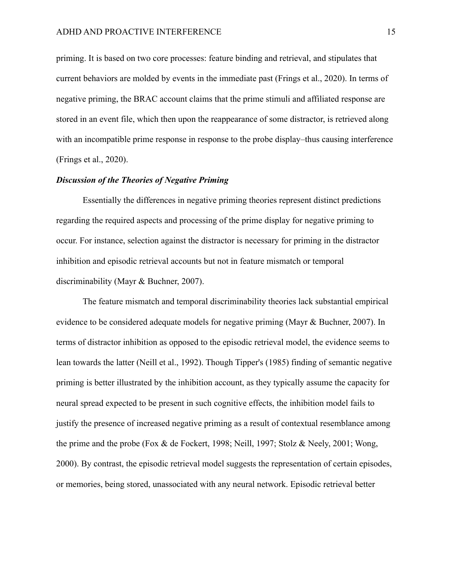priming. It is based on two core processes: feature binding and retrieval, and stipulates that current behaviors are molded by events in the immediate past (Frings et al., 2020). In terms of negative priming, the BRAC account claims that the prime stimuli and affiliated response are stored in an event file, which then upon the reappearance of some distractor, is retrieved along with an incompatible prime response in response to the probe display–thus causing interference (Frings et al., 2020).

## *Discussion of the Theories of Negative Priming*

Essentially the differences in negative priming theories represent distinct predictions regarding the required aspects and processing of the prime display for negative priming to occur. For instance, selection against the distractor is necessary for priming in the distractor inhibition and episodic retrieval accounts but not in feature mismatch or temporal discriminability (Mayr & Buchner, 2007).

The feature mismatch and temporal discriminability theories lack substantial empirical evidence to be considered adequate models for negative priming (Mayr & Buchner, 2007). In terms of distractor inhibition as opposed to the episodic retrieval model, the evidence seems to lean towards the latter (Neill et al., 1992). Though Tipper's (1985) finding of semantic negative priming is better illustrated by the inhibition account, as they typically assume the capacity for neural spread expected to be present in such cognitive effects, the inhibition model fails to justify the presence of increased negative priming as a result of contextual resemblance among the prime and the probe (Fox & de Fockert, 1998; Neill, 1997; Stolz & Neely, 2001; Wong, 2000). By contrast, the episodic retrieval model suggests the representation of certain episodes, or memories, being stored, unassociated with any neural network. Episodic retrieval better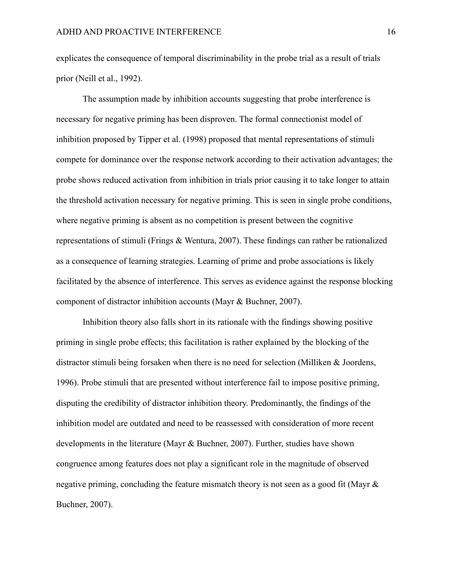explicates the consequence of temporal discriminability in the probe trial as a result of trials prior (Neill et al., 1992).

The assumption made by inhibition accounts suggesting that probe interference is necessary for negative priming has been disproven. The formal connectionist model of inhibition proposed by Tipper et al. (1998) proposed that mental representations of stimuli compete for dominance over the response network according to their activation advantages; the probe shows reduced activation from inhibition in trials prior causing it to take longer to attain the threshold activation necessary for negative priming. This is seen in single probe conditions, where negative priming is absent as no competition is present between the cognitive representations of stimuli (Frings & Wentura, 2007). These findings can rather be rationalized as a consequence of learning strategies. Learning of prime and probe associations is likely facilitated by the absence of interference. This serves as evidence against the response blocking component of distractor inhibition accounts (Mayr & Buchner, 2007).

Inhibition theory also falls short in its rationale with the findings showing positive priming in single probe effects; this facilitation is rather explained by the blocking of the distractor stimuli being forsaken when there is no need for selection (Milliken & Joordens, 1996). Probe stimuli that are presented without interference fail to impose positive priming, disputing the credibility of distractor inhibition theory. Predominantly, the findings of the inhibition model are outdated and need to be reassessed with consideration of more recent developments in the literature (Mayr & Buchner, 2007). Further, studies have shown congruence among features does not play a significant role in the magnitude of observed negative priming, concluding the feature mismatch theory is not seen as a good fit (Mayr & Buchner, 2007).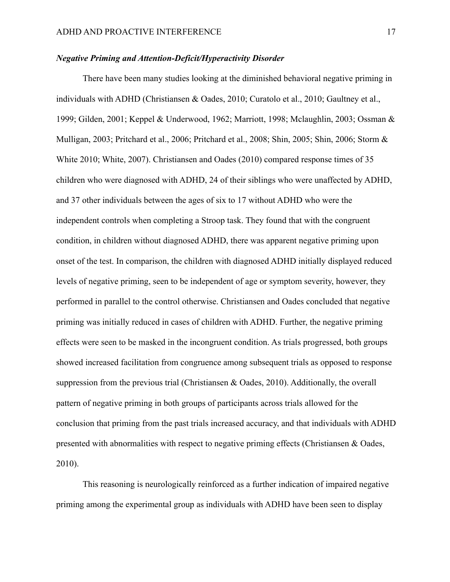## *Negative Priming and Attention-Deficit/Hyperactivity Disorder*

There have been many studies looking at the diminished behavioral negative priming in individuals with ADHD (Christiansen & Oades, 2010; Curatolo et al., 2010; Gaultney et al., 1999; Gilden, 2001; Keppel & Underwood, 1962; Marriott, 1998; Mclaughlin, 2003; Ossman & Mulligan, 2003; Pritchard et al., 2006; Pritchard et al., 2008; Shin, 2005; Shin, 2006; Storm & White 2010; White, 2007). Christiansen and Oades (2010) compared response times of 35 children who were diagnosed with ADHD, 24 of their siblings who were unaffected by ADHD, and 37 other individuals between the ages of six to 17 without ADHD who were the independent controls when completing a Stroop task. They found that with the congruent condition, in children without diagnosed ADHD, there was apparent negative priming upon onset of the test. In comparison, the children with diagnosed ADHD initially displayed reduced levels of negative priming, seen to be independent of age or symptom severity, however, they performed in parallel to the control otherwise. Christiansen and Oades concluded that negative priming was initially reduced in cases of children with ADHD. Further, the negative priming effects were seen to be masked in the incongruent condition. As trials progressed, both groups showed increased facilitation from congruence among subsequent trials as opposed to response suppression from the previous trial (Christiansen & Oades, 2010). Additionally, the overall pattern of negative priming in both groups of participants across trials allowed for the conclusion that priming from the past trials increased accuracy, and that individuals with ADHD presented with abnormalities with respect to negative priming effects (Christiansen & Oades, 2010).

This reasoning is neurologically reinforced as a further indication of impaired negative priming among the experimental group as individuals with ADHD have been seen to display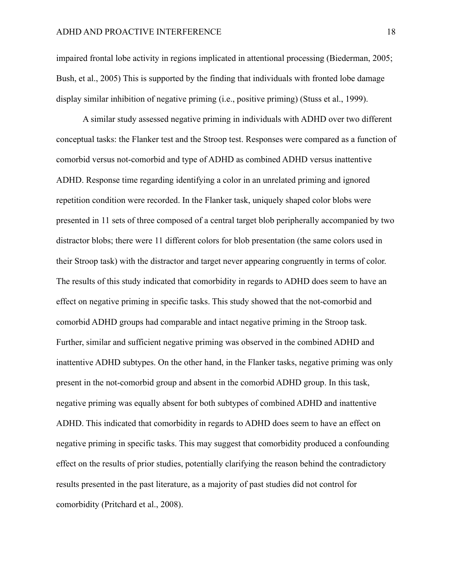impaired frontal lobe activity in regions implicated in attentional processing (Biederman, 2005; Bush, et al., 2005) This is supported by the finding that individuals with fronted lobe damage display similar inhibition of negative priming (i.e., positive priming) (Stuss et al., 1999).

A similar study assessed negative priming in individuals with ADHD over two different conceptual tasks: the Flanker test and the Stroop test. Responses were compared as a function of comorbid versus not-comorbid and type of ADHD as combined ADHD versus inattentive ADHD. Response time regarding identifying a color in an unrelated priming and ignored repetition condition were recorded. In the Flanker task, uniquely shaped color blobs were presented in 11 sets of three composed of a central target blob peripherally accompanied by two distractor blobs; there were 11 different colors for blob presentation (the same colors used in their Stroop task) with the distractor and target never appearing congruently in terms of color. The results of this study indicated that comorbidity in regards to ADHD does seem to have an effect on negative priming in specific tasks. This study showed that the not-comorbid and comorbid ADHD groups had comparable and intact negative priming in the Stroop task. Further, similar and sufficient negative priming was observed in the combined ADHD and inattentive ADHD subtypes. On the other hand, in the Flanker tasks, negative priming was only present in the not-comorbid group and absent in the comorbid ADHD group. In this task, negative priming was equally absent for both subtypes of combined ADHD and inattentive ADHD. This indicated that comorbidity in regards to ADHD does seem to have an effect on negative priming in specific tasks. This may suggest that comorbidity produced a confounding effect on the results of prior studies, potentially clarifying the reason behind the contradictory results presented in the past literature, as a majority of past studies did not control for comorbidity (Pritchard et al., 2008).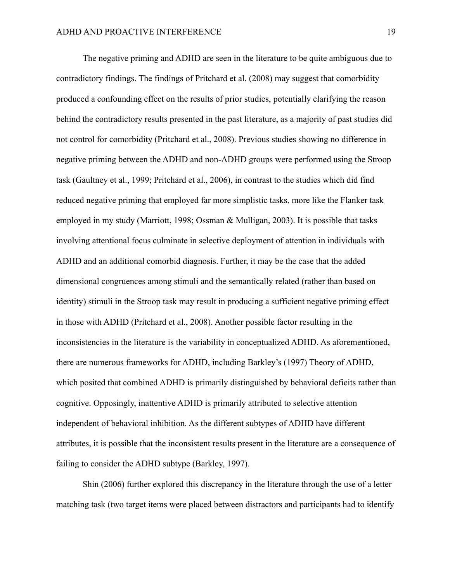The negative priming and ADHD are seen in the literature to be quite ambiguous due to contradictory findings. The findings of Pritchard et al. (2008) may suggest that comorbidity produced a confounding effect on the results of prior studies, potentially clarifying the reason behind the contradictory results presented in the past literature, as a majority of past studies did not control for comorbidity (Pritchard et al., 2008). Previous studies showing no difference in negative priming between the ADHD and non-ADHD groups were performed using the Stroop task (Gaultney et al., 1999; Pritchard et al., 2006), in contrast to the studies which did find reduced negative priming that employed far more simplistic tasks, more like the Flanker task employed in my study (Marriott, 1998; Ossman & Mulligan, 2003). It is possible that tasks involving attentional focus culminate in selective deployment of attention in individuals with ADHD and an additional comorbid diagnosis. Further, it may be the case that the added dimensional congruences among stimuli and the semantically related (rather than based on identity) stimuli in the Stroop task may result in producing a sufficient negative priming effect in those with ADHD (Pritchard et al., 2008). Another possible factor resulting in the inconsistencies in the literature is the variability in conceptualized ADHD. As aforementioned, there are numerous frameworks for ADHD, including Barkley's (1997) Theory of ADHD, which posited that combined ADHD is primarily distinguished by behavioral deficits rather than cognitive. Opposingly, inattentive ADHD is primarily attributed to selective attention independent of behavioral inhibition. As the different subtypes of ADHD have different attributes, it is possible that the inconsistent results present in the literature are a consequence of failing to consider the ADHD subtype (Barkley, 1997).

Shin (2006) further explored this discrepancy in the literature through the use of a letter matching task (two target items were placed between distractors and participants had to identify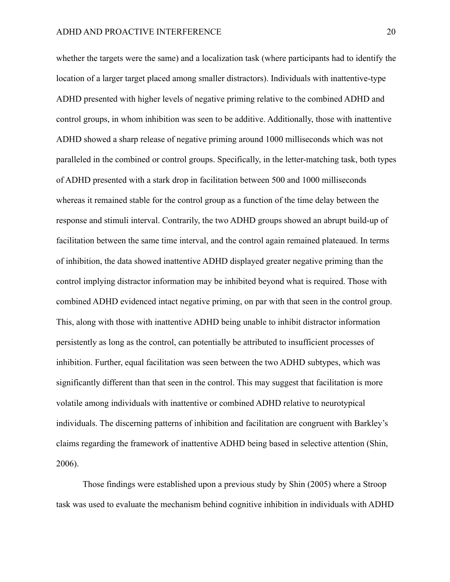whether the targets were the same) and a localization task (where participants had to identify the location of a larger target placed among smaller distractors). Individuals with inattentive-type ADHD presented with higher levels of negative priming relative to the combined ADHD and control groups, in whom inhibition was seen to be additive. Additionally, those with inattentive ADHD showed a sharp release of negative priming around 1000 milliseconds which was not paralleled in the combined or control groups. Specifically, in the letter-matching task, both types of ADHD presented with a stark drop in facilitation between 500 and 1000 milliseconds whereas it remained stable for the control group as a function of the time delay between the response and stimuli interval. Contrarily, the two ADHD groups showed an abrupt build-up of facilitation between the same time interval, and the control again remained plateaued. In terms of inhibition, the data showed inattentive ADHD displayed greater negative priming than the control implying distractor information may be inhibited beyond what is required. Those with combined ADHD evidenced intact negative priming, on par with that seen in the control group. This, along with those with inattentive ADHD being unable to inhibit distractor information persistently as long as the control, can potentially be attributed to insufficient processes of inhibition. Further, equal facilitation was seen between the two ADHD subtypes, which was significantly different than that seen in the control. This may suggest that facilitation is more volatile among individuals with inattentive or combined ADHD relative to neurotypical individuals. The discerning patterns of inhibition and facilitation are congruent with Barkley's claims regarding the framework of inattentive ADHD being based in selective attention (Shin, 2006).

Those findings were established upon a previous study by Shin (2005) where a Stroop task was used to evaluate the mechanism behind cognitive inhibition in individuals with ADHD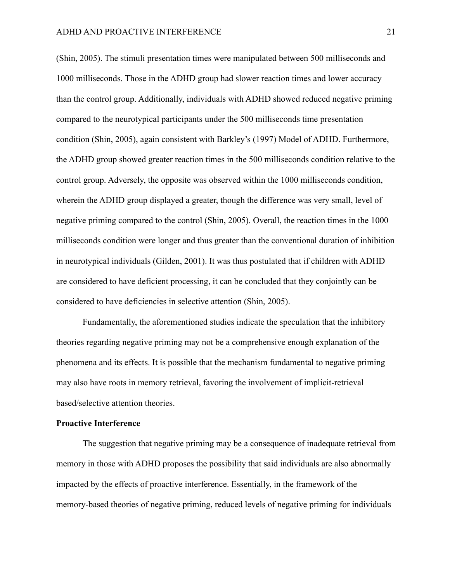(Shin, 2005). The stimuli presentation times were manipulated between 500 milliseconds and 1000 milliseconds. Those in the ADHD group had slower reaction times and lower accuracy than the control group. Additionally, individuals with ADHD showed reduced negative priming compared to the neurotypical participants under the 500 milliseconds time presentation condition (Shin, 2005), again consistent with Barkley's (1997) Model of ADHD. Furthermore, the ADHD group showed greater reaction times in the 500 milliseconds condition relative to the control group. Adversely, the opposite was observed within the 1000 milliseconds condition, wherein the ADHD group displayed a greater, though the difference was very small, level of negative priming compared to the control (Shin, 2005). Overall, the reaction times in the 1000 milliseconds condition were longer and thus greater than the conventional duration of inhibition in neurotypical individuals (Gilden, 2001). It was thus postulated that if children with ADHD are considered to have deficient processing, it can be concluded that they conjointly can be considered to have deficiencies in selective attention (Shin, 2005).

Fundamentally, the aforementioned studies indicate the speculation that the inhibitory theories regarding negative priming may not be a comprehensive enough explanation of the phenomena and its effects. It is possible that the mechanism fundamental to negative priming may also have roots in memory retrieval, favoring the involvement of implicit-retrieval based/selective attention theories.

#### **Proactive Interference**

The suggestion that negative priming may be a consequence of inadequate retrieval from memory in those with ADHD proposes the possibility that said individuals are also abnormally impacted by the effects of proactive interference. Essentially, in the framework of the memory-based theories of negative priming, reduced levels of negative priming for individuals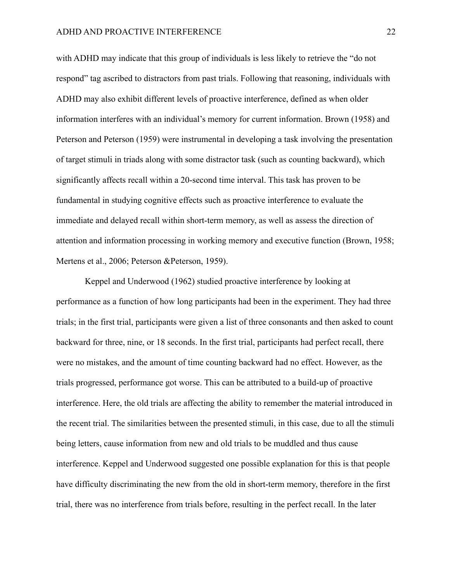with ADHD may indicate that this group of individuals is less likely to retrieve the "do not respond" tag ascribed to distractors from past trials. Following that reasoning, individuals with ADHD may also exhibit different levels of proactive interference, defined as when older information interferes with an individual's memory for current information. Brown (1958) and Peterson and Peterson (1959) were instrumental in developing a task involving the presentation of target stimuli in triads along with some distractor task (such as counting backward), which significantly affects recall within a 20-second time interval. This task has proven to be fundamental in studying cognitive effects such as proactive interference to evaluate the immediate and delayed recall within short-term memory, as well as assess the direction of attention and information processing in working memory and executive function (Brown, 1958; Mertens et al., 2006; Peterson &Peterson, 1959).

Keppel and Underwood (1962) studied proactive interference by looking at performance as a function of how long participants had been in the experiment. They had three trials; in the first trial, participants were given a list of three consonants and then asked to count backward for three, nine, or 18 seconds. In the first trial, participants had perfect recall, there were no mistakes, and the amount of time counting backward had no effect. However, as the trials progressed, performance got worse. This can be attributed to a build-up of proactive interference. Here, the old trials are affecting the ability to remember the material introduced in the recent trial. The similarities between the presented stimuli, in this case, due to all the stimuli being letters, cause information from new and old trials to be muddled and thus cause interference. Keppel and Underwood suggested one possible explanation for this is that people have difficulty discriminating the new from the old in short-term memory, therefore in the first trial, there was no interference from trials before, resulting in the perfect recall. In the later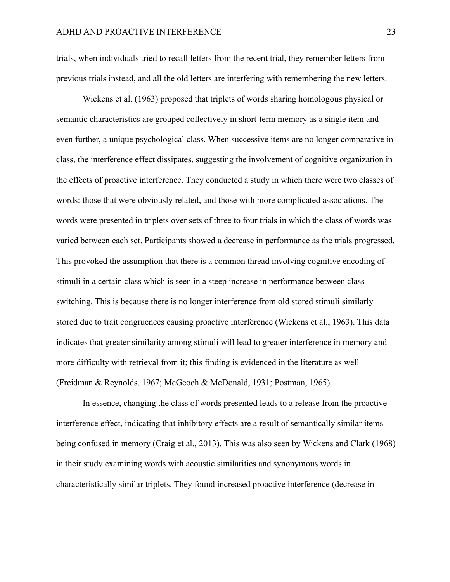trials, when individuals tried to recall letters from the recent trial, they remember letters from previous trials instead, and all the old letters are interfering with remembering the new letters.

Wickens et al. (1963) proposed that triplets of words sharing homologous physical or semantic characteristics are grouped collectively in short-term memory as a single item and even further, a unique psychological class. When successive items are no longer comparative in class, the interference effect dissipates, suggesting the involvement of cognitive organization in the effects of proactive interference. They conducted a study in which there were two classes of words: those that were obviously related, and those with more complicated associations. The words were presented in triplets over sets of three to four trials in which the class of words was varied between each set. Participants showed a decrease in performance as the trials progressed. This provoked the assumption that there is a common thread involving cognitive encoding of stimuli in a certain class which is seen in a steep increase in performance between class switching. This is because there is no longer interference from old stored stimuli similarly stored due to trait congruences causing proactive interference (Wickens et al., 1963). This data indicates that greater similarity among stimuli will lead to greater interference in memory and more difficulty with retrieval from it; this finding is evidenced in the literature as well (Freidman & Reynolds, 1967; McGeoch & McDonald, 1931; Postman, 1965).

In essence, changing the class of words presented leads to a release from the proactive interference effect, indicating that inhibitory effects are a result of semantically similar items being confused in memory (Craig et al., 2013). This was also seen by Wickens and Clark (1968) in their study examining words with acoustic similarities and synonymous words in characteristically similar triplets. They found increased proactive interference (decrease in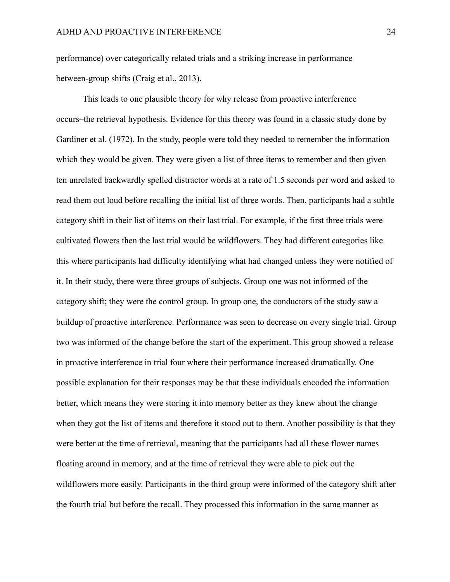performance) over categorically related trials and a striking increase in performance between-group shifts (Craig et al., 2013).

This leads to one plausible theory for why release from proactive interference occurs–the retrieval hypothesis. Evidence for this theory was found in a classic study done by Gardiner et al. (1972). In the study, people were told they needed to remember the information which they would be given. They were given a list of three items to remember and then given ten unrelated backwardly spelled distractor words at a rate of 1.5 seconds per word and asked to read them out loud before recalling the initial list of three words. Then, participants had a subtle category shift in their list of items on their last trial. For example, if the first three trials were cultivated flowers then the last trial would be wildflowers. They had different categories like this where participants had difficulty identifying what had changed unless they were notified of it. In their study, there were three groups of subjects. Group one was not informed of the category shift; they were the control group. In group one, the conductors of the study saw a buildup of proactive interference. Performance was seen to decrease on every single trial. Group two was informed of the change before the start of the experiment. This group showed a release in proactive interference in trial four where their performance increased dramatically. One possible explanation for their responses may be that these individuals encoded the information better, which means they were storing it into memory better as they knew about the change when they got the list of items and therefore it stood out to them. Another possibility is that they were better at the time of retrieval, meaning that the participants had all these flower names floating around in memory, and at the time of retrieval they were able to pick out the wildflowers more easily. Participants in the third group were informed of the category shift after the fourth trial but before the recall. They processed this information in the same manner as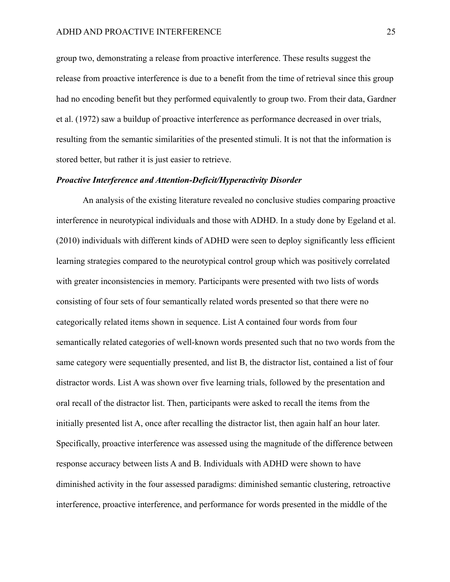group two, demonstrating a release from proactive interference. These results suggest the release from proactive interference is due to a benefit from the time of retrieval since this group had no encoding benefit but they performed equivalently to group two. From their data, Gardner et al. (1972) saw a buildup of proactive interference as performance decreased in over trials, resulting from the semantic similarities of the presented stimuli. It is not that the information is stored better, but rather it is just easier to retrieve.

## *Proactive Interference and Attention-Deficit/Hyperactivity Disorder*

An analysis of the existing literature revealed no conclusive studies comparing proactive interference in neurotypical individuals and those with ADHD. In a study done by Egeland et al. (2010) individuals with different kinds of ADHD were seen to deploy significantly less efficient learning strategies compared to the neurotypical control group which was positively correlated with greater inconsistencies in memory. Participants were presented with two lists of words consisting of four sets of four semantically related words presented so that there were no categorically related items shown in sequence. List A contained four words from four semantically related categories of well-known words presented such that no two words from the same category were sequentially presented, and list B, the distractor list, contained a list of four distractor words. List A was shown over five learning trials, followed by the presentation and oral recall of the distractor list. Then, participants were asked to recall the items from the initially presented list A, once after recalling the distractor list, then again half an hour later. Specifically, proactive interference was assessed using the magnitude of the difference between response accuracy between lists A and B. Individuals with ADHD were shown to have diminished activity in the four assessed paradigms: diminished semantic clustering, retroactive interference, proactive interference, and performance for words presented in the middle of the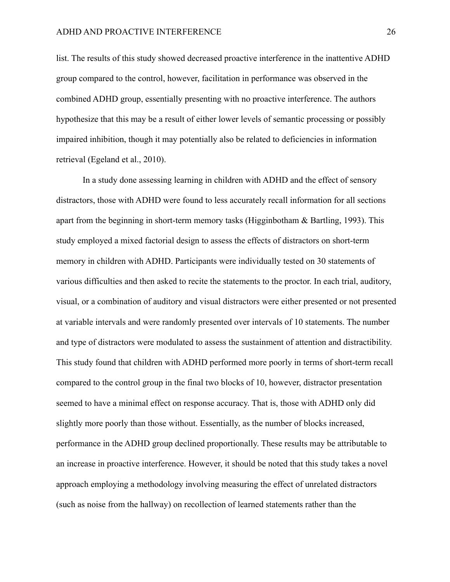list. The results of this study showed decreased proactive interference in the inattentive ADHD group compared to the control, however, facilitation in performance was observed in the combined ADHD group, essentially presenting with no proactive interference. The authors hypothesize that this may be a result of either lower levels of semantic processing or possibly impaired inhibition, though it may potentially also be related to deficiencies in information retrieval (Egeland et al., 2010).

In a study done assessing learning in children with ADHD and the effect of sensory distractors, those with ADHD were found to less accurately recall information for all sections apart from the beginning in short-term memory tasks (Higginbotham & Bartling, 1993). This study employed a mixed factorial design to assess the effects of distractors on short-term memory in children with ADHD. Participants were individually tested on 30 statements of various difficulties and then asked to recite the statements to the proctor. In each trial, auditory, visual, or a combination of auditory and visual distractors were either presented or not presented at variable intervals and were randomly presented over intervals of 10 statements. The number and type of distractors were modulated to assess the sustainment of attention and distractibility. This study found that children with ADHD performed more poorly in terms of short-term recall compared to the control group in the final two blocks of 10, however, distractor presentation seemed to have a minimal effect on response accuracy. That is, those with ADHD only did slightly more poorly than those without. Essentially, as the number of blocks increased, performance in the ADHD group declined proportionally. These results may be attributable to an increase in proactive interference. However, it should be noted that this study takes a novel approach employing a methodology involving measuring the effect of unrelated distractors (such as noise from the hallway) on recollection of learned statements rather than the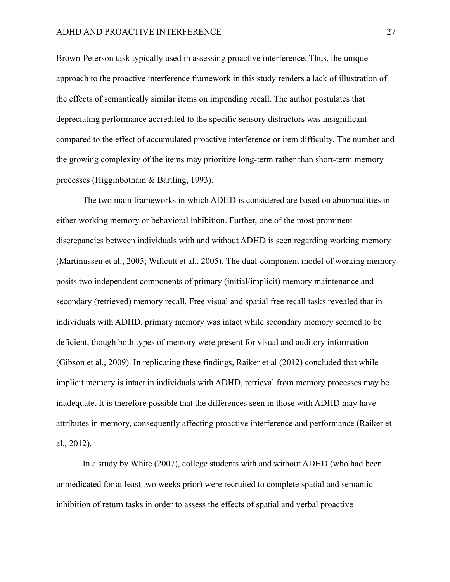Brown-Peterson task typically used in assessing proactive interference. Thus, the unique approach to the proactive interference framework in this study renders a lack of illustration of the effects of semantically similar items on impending recall. The author postulates that depreciating performance accredited to the specific sensory distractors was insignificant compared to the effect of accumulated proactive interference or item difficulty. The number and the growing complexity of the items may prioritize long-term rather than short-term memory processes (Higginbotham & Bartling, 1993).

The two main frameworks in which ADHD is considered are based on abnormalities in either working memory or behavioral inhibition. Further, one of the most prominent discrepancies between individuals with and without ADHD is seen regarding working memory (Martinussen et al., 2005; Willcutt et al., 2005). The dual-component model of working memory posits two independent components of primary (initial/implicit) memory maintenance and secondary (retrieved) memory recall. Free visual and spatial free recall tasks revealed that in individuals with ADHD, primary memory was intact while secondary memory seemed to be deficient, though both types of memory were present for visual and auditory information (Gibson et al., 2009). In replicating these findings, Raiker et al (2012) concluded that while implicit memory is intact in individuals with ADHD, retrieval from memory processes may be inadequate. It is therefore possible that the differences seen in those with ADHD may have attributes in memory, consequently affecting proactive interference and performance (Raiker et al., 2012).

In a study by White (2007), college students with and without ADHD (who had been unmedicated for at least two weeks prior) were recruited to complete spatial and semantic inhibition of return tasks in order to assess the effects of spatial and verbal proactive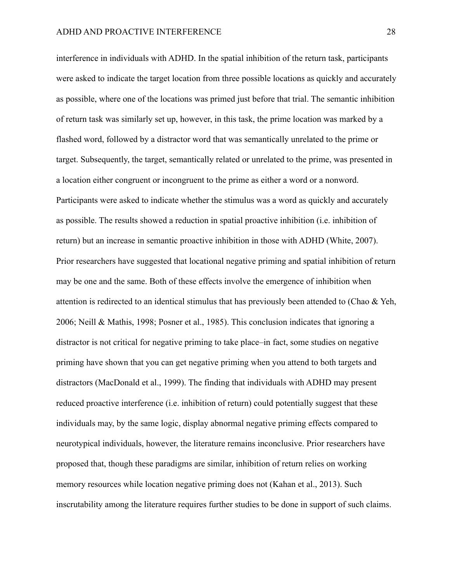interference in individuals with ADHD. In the spatial inhibition of the return task, participants were asked to indicate the target location from three possible locations as quickly and accurately as possible, where one of the locations was primed just before that trial. The semantic inhibition of return task was similarly set up, however, in this task, the prime location was marked by a flashed word, followed by a distractor word that was semantically unrelated to the prime or target. Subsequently, the target, semantically related or unrelated to the prime, was presented in a location either congruent or incongruent to the prime as either a word or a nonword. Participants were asked to indicate whether the stimulus was a word as quickly and accurately as possible. The results showed a reduction in spatial proactive inhibition (i.e. inhibition of return) but an increase in semantic proactive inhibition in those with ADHD (White, 2007). Prior researchers have suggested that locational negative priming and spatial inhibition of return may be one and the same. Both of these effects involve the emergence of inhibition when attention is redirected to an identical stimulus that has previously been attended to (Chao & Yeh, 2006; Neill & Mathis, 1998; Posner et al., 1985). This conclusion indicates that ignoring a distractor is not critical for negative priming to take place–in fact, some studies on negative priming have shown that you can get negative priming when you attend to both targets and distractors (MacDonald et al., 1999). The finding that individuals with ADHD may present reduced proactive interference (i.e. inhibition of return) could potentially suggest that these individuals may, by the same logic, display abnormal negative priming effects compared to neurotypical individuals, however, the literature remains inconclusive. Prior researchers have proposed that, though these paradigms are similar, inhibition of return relies on working memory resources while location negative priming does not (Kahan et al., 2013). Such inscrutability among the literature requires further studies to be done in support of such claims.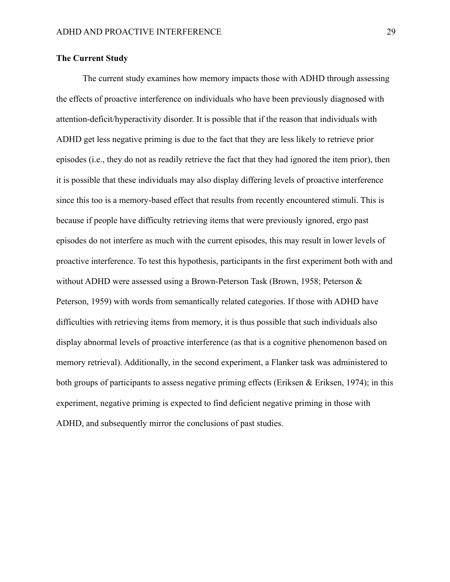## **The Current Study**

The current study examines how memory impacts those with ADHD through assessing the effects of proactive interference on individuals who have been previously diagnosed with attention-deficit/hyperactivity disorder. It is possible that if the reason that individuals with ADHD get less negative priming is due to the fact that they are less likely to retrieve prior episodes (i.e., they do not as readily retrieve the fact that they had ignored the item prior), then it is possible that these individuals may also display differing levels of proactive interference since this too is a memory-based effect that results from recently encountered stimuli. This is because if people have difficulty retrieving items that were previously ignored, ergo past episodes do not interfere as much with the current episodes, this may result in lower levels of proactive interference. To test this hypothesis, participants in the first experiment both with and without ADHD were assessed using a Brown-Peterson Task (Brown, 1958; Peterson & Peterson, 1959) with words from semantically related categories. If those with ADHD have difficulties with retrieving items from memory, it is thus possible that such individuals also display abnormal levels of proactive interference (as that is a cognitive phenomenon based on memory retrieval). Additionally, in the second experiment, a Flanker task was administered to both groups of participants to assess negative priming effects (Eriksen & Eriksen, 1974); in this experiment, negative priming is expected to find deficient negative priming in those with ADHD, and subsequently mirror the conclusions of past studies.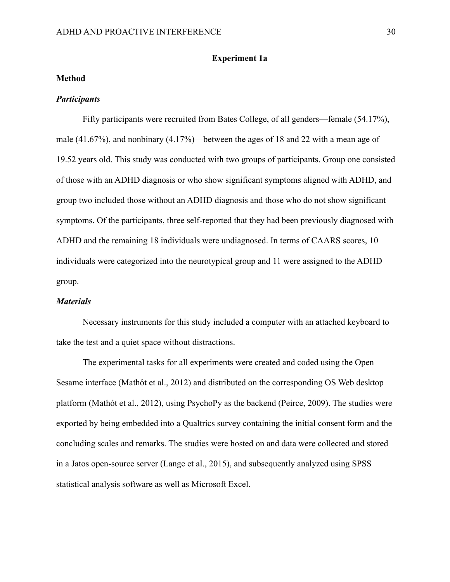## **Experiment 1a**

### **Method**

### *Participants*

Fifty participants were recruited from Bates College, of all genders—female (54.17%), male (41.67%), and nonbinary (4.17%)—between the ages of 18 and 22 with a mean age of 19.52 years old. This study was conducted with two groups of participants. Group one consisted of those with an ADHD diagnosis or who show significant symptoms aligned with ADHD, and group two included those without an ADHD diagnosis and those who do not show significant symptoms. Of the participants, three self-reported that they had been previously diagnosed with ADHD and the remaining 18 individuals were undiagnosed. In terms of CAARS scores, 10 individuals were categorized into the neurotypical group and 11 were assigned to the ADHD group.

#### *Materials*

Necessary instruments for this study included a computer with an attached keyboard to take the test and a quiet space without distractions.

The experimental tasks for all experiments were created and coded using the Open Sesame interface (Mathôt et al., 2012) and distributed on the corresponding OS Web desktop platform (Mathôt et al., 2012), using PsychoPy as the backend (Peirce, 2009). The studies were exported by being embedded into a Qualtrics survey containing the initial consent form and the concluding scales and remarks. The studies were hosted on and data were collected and stored in a Jatos open-source server (Lange et al., 2015), and subsequently analyzed using SPSS statistical analysis software as well as Microsoft Excel.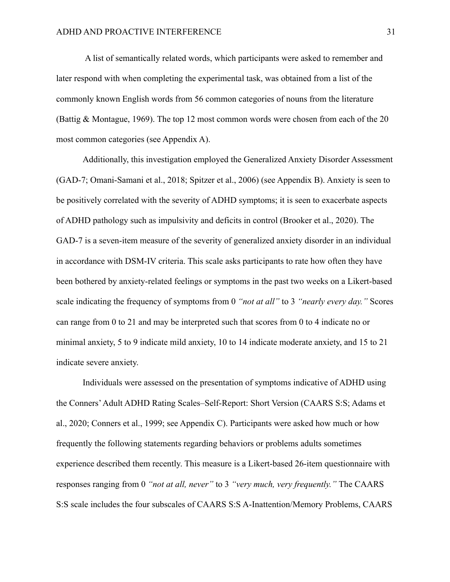A list of semantically related words, which participants were asked to remember and later respond with when completing the experimental task, was obtained from a list of the commonly known English words from 56 common categories of nouns from the literature (Battig & Montague, 1969). The top 12 most common words were chosen from each of the 20 most common categories (see Appendix A).

Additionally, this investigation employed the Generalized Anxiety Disorder Assessment (GAD-7; Omani-Samani et al., 2018; Spitzer et al., 2006) (see Appendix B). Anxiety is seen to be positively correlated with the severity of ADHD symptoms; it is seen to exacerbate aspects of ADHD pathology such as impulsivity and deficits in control (Brooker et al., 2020). The GAD-7 is a seven-item measure of the severity of generalized anxiety disorder in an individual in accordance with DSM-IV criteria. This scale asks participants to rate how often they have been bothered by anxiety-related feelings or symptoms in the past two weeks on a Likert-based scale indicating the frequency of symptoms from 0 *"not at all"* to 3 *"nearly every day."* Scores can range from 0 to 21 and may be interpreted such that scores from 0 to 4 indicate no or minimal anxiety, 5 to 9 indicate mild anxiety, 10 to 14 indicate moderate anxiety, and 15 to 21 indicate severe anxiety.

Individuals were assessed on the presentation of symptoms indicative of ADHD using the Conners'Adult ADHD Rating Scales–Self-Report: Short Version (CAARS S:S; Adams et al., 2020; Conners et al., 1999; see Appendix C). Participants were asked how much or how frequently the following statements regarding behaviors or problems adults sometimes experience described them recently. This measure is a Likert-based 26-item questionnaire with responses ranging from 0 *"not at all, never"* to 3 *"very much, very frequently."* The CAARS S:S scale includes the four subscales of CAARS S:S A-Inattention/Memory Problems, CAARS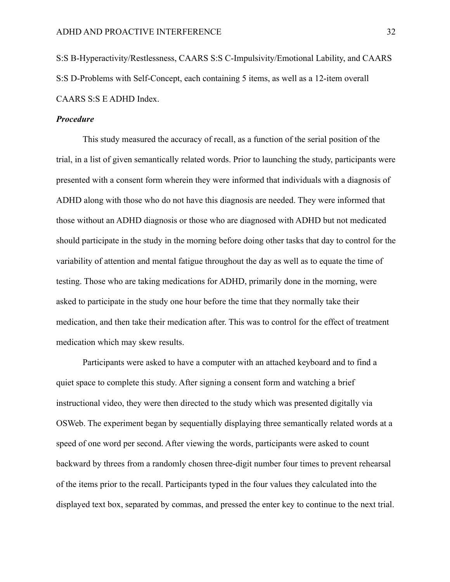S:S B-Hyperactivity/Restlessness, CAARS S:S C-Impulsivity/Emotional Lability, and CAARS S:S D-Problems with Self-Concept, each containing 5 items, as well as a 12-item overall CAARS S:S E ADHD Index.

#### *Procedure*

This study measured the accuracy of recall, as a function of the serial position of the trial, in a list of given semantically related words. Prior to launching the study, participants were presented with a consent form wherein they were informed that individuals with a diagnosis of ADHD along with those who do not have this diagnosis are needed. They were informed that those without an ADHD diagnosis or those who are diagnosed with ADHD but not medicated should participate in the study in the morning before doing other tasks that day to control for the variability of attention and mental fatigue throughout the day as well as to equate the time of testing. Those who are taking medications for ADHD, primarily done in the morning, were asked to participate in the study one hour before the time that they normally take their medication, and then take their medication after. This was to control for the effect of treatment medication which may skew results.

Participants were asked to have a computer with an attached keyboard and to find a quiet space to complete this study. After signing a consent form and watching a brief instructional video, they were then directed to the study which was presented digitally via OSWeb. The experiment began by sequentially displaying three semantically related words at a speed of one word per second. After viewing the words, participants were asked to count backward by threes from a randomly chosen three-digit number four times to prevent rehearsal of the items prior to the recall. Participants typed in the four values they calculated into the displayed text box, separated by commas, and pressed the enter key to continue to the next trial.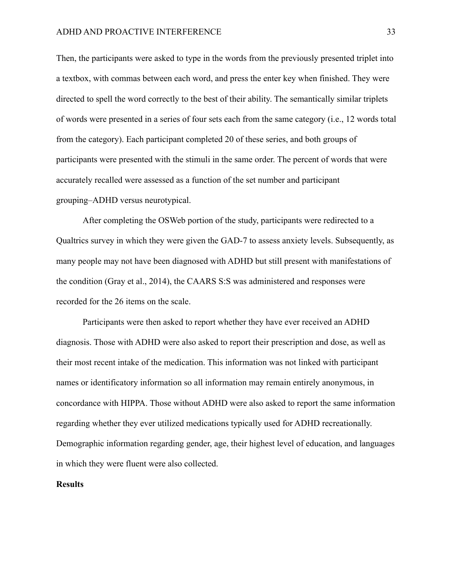Then, the participants were asked to type in the words from the previously presented triplet into a textbox, with commas between each word, and press the enter key when finished. They were directed to spell the word correctly to the best of their ability. The semantically similar triplets of words were presented in a series of four sets each from the same category (i.e., 12 words total from the category). Each participant completed 20 of these series, and both groups of participants were presented with the stimuli in the same order. The percent of words that were accurately recalled were assessed as a function of the set number and participant grouping–ADHD versus neurotypical.

After completing the OSWeb portion of the study, participants were redirected to a Qualtrics survey in which they were given the GAD-7 to assess anxiety levels. Subsequently, as many people may not have been diagnosed with ADHD but still present with manifestations of the condition (Gray et al., 2014), the CAARS S:S was administered and responses were recorded for the 26 items on the scale.

Participants were then asked to report whether they have ever received an ADHD diagnosis. Those with ADHD were also asked to report their prescription and dose, as well as their most recent intake of the medication. This information was not linked with participant names or identificatory information so all information may remain entirely anonymous, in concordance with HIPPA. Those without ADHD were also asked to report the same information regarding whether they ever utilized medications typically used for ADHD recreationally. Demographic information regarding gender, age, their highest level of education, and languages in which they were fluent were also collected.

#### **Results**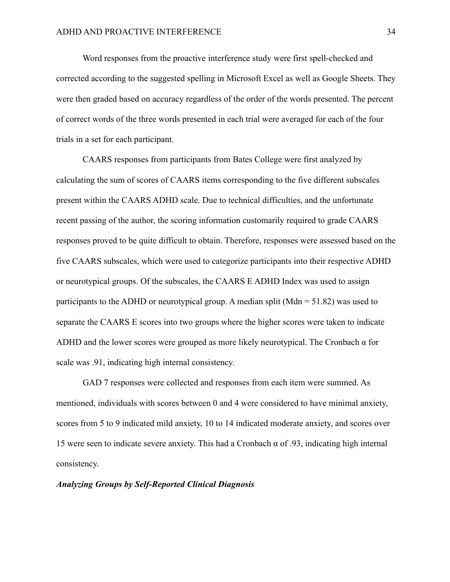Word responses from the proactive interference study were first spell-checked and corrected according to the suggested spelling in Microsoft Excel as well as Google Sheets. They were then graded based on accuracy regardless of the order of the words presented. The percent of correct words of the three words presented in each trial were averaged for each of the four trials in a set for each participant.

CAARS responses from participants from Bates College were first analyzed by calculating the sum of scores of CAARS items corresponding to the five different subscales present within the CAARS ADHD scale. Due to technical difficulties, and the unfortunate recent passing of the author, the scoring information customarily required to grade CAARS responses proved to be quite difficult to obtain. Therefore, responses were assessed based on the five CAARS subscales, which were used to categorize participants into their respective ADHD or neurotypical groups. Of the subscales, the CAARS E ADHD Index was used to assign participants to the ADHD or neurotypical group. A median split ( $Mdn = 51.82$ ) was used to separate the CAARS E scores into two groups where the higher scores were taken to indicate ADHD and the lower scores were grouped as more likely neurotypical. The Cronbach α for scale was .91, indicating high internal consistency.

GAD 7 responses were collected and responses from each item were summed. As mentioned, individuals with scores between 0 and 4 were considered to have minimal anxiety, scores from 5 to 9 indicated mild anxiety, 10 to 14 indicated moderate anxiety, and scores over 15 were seen to indicate severe anxiety. This had a Cronbach  $\alpha$  of .93, indicating high internal consistency.

### *Analyzing Groups by Self-Reported Clinical Diagnosis*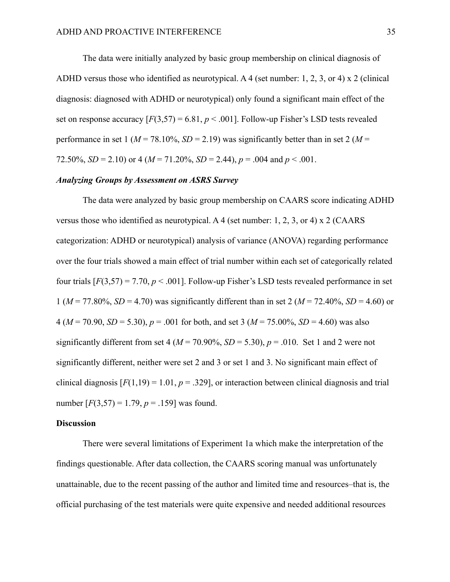The data were initially analyzed by basic group membership on clinical diagnosis of ADHD versus those who identified as neurotypical. A 4 (set number: 1, 2, 3, or 4) x 2 (clinical diagnosis: diagnosed with ADHD or neurotypical) only found a significant main effect of the set on response accuracy  $[F(3,57) = 6.81, p < .001]$ . Follow-up Fisher's LSD tests revealed performance in set 1 ( $M = 78.10\%$ ,  $SD = 2.19$ ) was significantly better than in set 2 ( $M =$ 72.50%,  $SD = 2.10$  or 4 ( $M = 71.20\%$ ,  $SD = 2.44$ ),  $p = .004$  and  $p < .001$ .

## *Analyzing Groups by Assessment on ASRS Survey*

The data were analyzed by basic group membership on CAARS score indicating ADHD versus those who identified as neurotypical. A 4 (set number: 1, 2, 3, or 4) x 2 (CAARS categorization: ADHD or neurotypical) analysis of variance (ANOVA) regarding performance over the four trials showed a main effect of trial number within each set of categorically related four trials  $[F(3,57) = 7.70, p < .001]$ . Follow-up Fisher's LSD tests revealed performance in set 1 (*M* = 77.80%, *SD* = 4.70) was significantly different than in set 2 (*M* = 72.40%, *SD* = 4.60) or 4 ( $M = 70.90$ ,  $SD = 5.30$ ),  $p = .001$  for both, and set 3 ( $M = 75.00\%$ ,  $SD = 4.60$ ) was also significantly different from set 4 ( $M = 70.90\%$ ,  $SD = 5.30$ ),  $p = .010$ . Set 1 and 2 were not significantly different, neither were set 2 and 3 or set 1 and 3. No significant main effect of clinical diagnosis  $[F(1,19) = 1.01, p = .329]$ , or interaction between clinical diagnosis and trial number  $[F(3,57) = 1.79, p = .159]$  was found.

#### **Discussion**

There were several limitations of Experiment 1a which make the interpretation of the findings questionable. After data collection, the CAARS scoring manual was unfortunately unattainable, due to the recent passing of the author and limited time and resources–that is, the official purchasing of the test materials were quite expensive and needed additional resources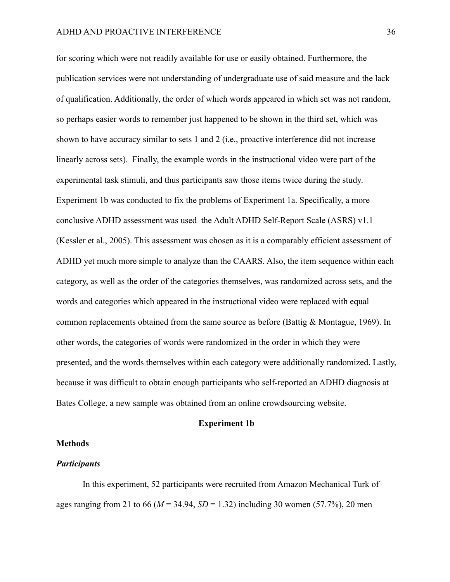for scoring which were not readily available for use or easily obtained. Furthermore, the publication services were not understanding of undergraduate use of said measure and the lack of qualification. Additionally, the order of which words appeared in which set was not random, so perhaps easier words to remember just happened to be shown in the third set, which was shown to have accuracy similar to sets 1 and 2 (i.e., proactive interference did not increase linearly across sets). Finally, the example words in the instructional video were part of the experimental task stimuli, and thus participants saw those items twice during the study. Experiment 1b was conducted to fix the problems of Experiment 1a. Specifically, a more conclusive ADHD assessment was used–the Adult ADHD Self-Report Scale (ASRS) v1.1 (Kessler et al., 2005). This assessment was chosen as it is a comparably efficient assessment of ADHD yet much more simple to analyze than the CAARS. Also, the item sequence within each category, as well as the order of the categories themselves, was randomized across sets, and the words and categories which appeared in the instructional video were replaced with equal common replacements obtained from the same source as before (Battig & Montague, 1969). In other words, the categories of words were randomized in the order in which they were presented, and the words themselves within each category were additionally randomized. Lastly, because it was difficult to obtain enough participants who self-reported an ADHD diagnosis at Bates College, a new sample was obtained from an online crowdsourcing website.

#### **Experiment 1b**

## **Methods**

## *Participants*

In this experiment, 52 participants were recruited from Amazon Mechanical Turk of ages ranging from 21 to 66 ( $M = 34.94$ ,  $SD = 1.32$ ) including 30 women (57.7%), 20 men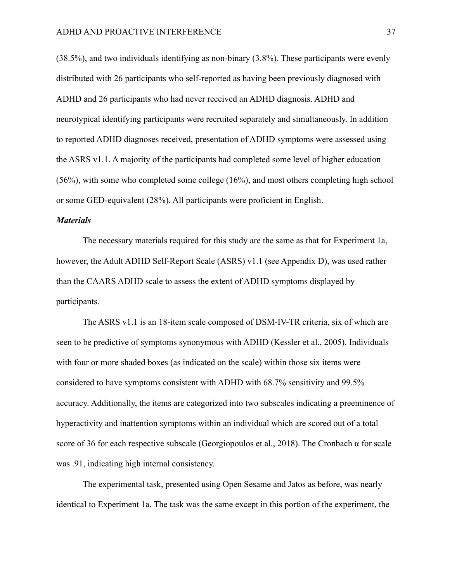(38.5%), and two individuals identifying as non-binary (3.8%). These participants were evenly distributed with 26 participants who self-reported as having been previously diagnosed with ADHD and 26 participants who had never received an ADHD diagnosis. ADHD and neurotypical identifying participants were recruited separately and simultaneously. In addition to reported ADHD diagnoses received, presentation of ADHD symptoms were assessed using the ASRS v1.1. A majority of the participants had completed some level of higher education (56%), with some who completed some college (16%), and most others completing high school or some GED-equivalent (28%). All participants were proficient in English.

### *Materials*

The necessary materials required for this study are the same as that for Experiment 1a, however, the Adult ADHD Self-Report Scale (ASRS) v1.1 (see Appendix D), was used rather than the CAARS ADHD scale to assess the extent of ADHD symptoms displayed by participants.

The ASRS v1.1 is an 18-item scale composed of DSM-IV-TR criteria, six of which are seen to be predictive of symptoms synonymous with ADHD (Kessler et al., 2005). Individuals with four or more shaded boxes (as indicated on the scale) within those six items were considered to have symptoms consistent with ADHD with 68.7% sensitivity and 99.5% accuracy. Additionally, the items are categorized into two subscales indicating a preeminence of hyperactivity and inattention symptoms within an individual which are scored out of a total score of 36 for each respective subscale (Georgiopoulos et al., 2018). The Cronbach  $\alpha$  for scale was .91, indicating high internal consistency.

The experimental task, presented using Open Sesame and Jatos as before, was nearly identical to Experiment 1a. The task was the same except in this portion of the experiment, the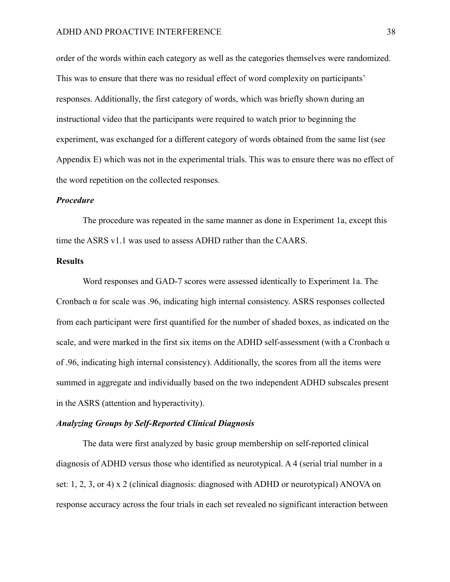order of the words within each category as well as the categories themselves were randomized. This was to ensure that there was no residual effect of word complexity on participants' responses. Additionally, the first category of words, which was briefly shown during an instructional video that the participants were required to watch prior to beginning the experiment, was exchanged for a different category of words obtained from the same list (see Appendix E) which was not in the experimental trials. This was to ensure there was no effect of the word repetition on the collected responses.

#### *Procedure*

The procedure was repeated in the same manner as done in Experiment 1a, except this time the ASRS v1.1 was used to assess ADHD rather than the CAARS.

#### **Results**

Word responses and GAD-7 scores were assessed identically to Experiment 1a. The Cronbach α for scale was .96, indicating high internal consistency. ASRS responses collected from each participant were first quantified for the number of shaded boxes, as indicated on the scale, and were marked in the first six items on the ADHD self-assessment (with a Cronbach  $\alpha$ of .96, indicating high internal consistency). Additionally, the scores from all the items were summed in aggregate and individually based on the two independent ADHD subscales present in the ASRS (attention and hyperactivity).

### *Analyzing Groups by Self-Reported Clinical Diagnosis*

The data were first analyzed by basic group membership on self-reported clinical diagnosis of ADHD versus those who identified as neurotypical. A 4 (serial trial number in a set: 1, 2, 3, or 4) x 2 (clinical diagnosis: diagnosed with ADHD or neurotypical) ANOVA on response accuracy across the four trials in each set revealed no significant interaction between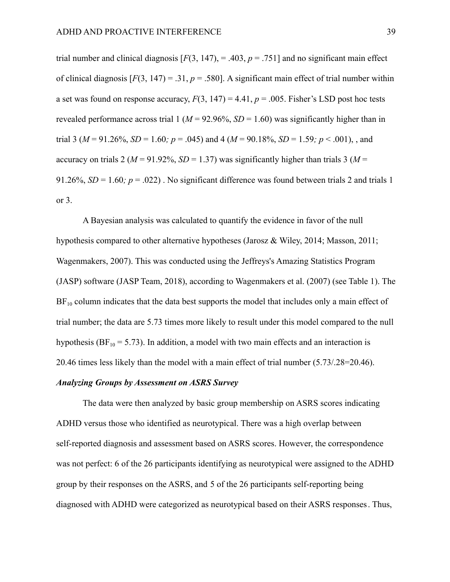trial number and clinical diagnosis  $[F(3, 147), = .403, p = .751]$  and no significant main effect of clinical diagnosis  $[F(3, 147) = .31, p = .580]$ . A significant main effect of trial number within a set was found on response accuracy,  $F(3, 147) = 4.41$ ,  $p = .005$ . Fisher's LSD post hoc tests revealed performance across trial 1 ( $M = 92.96\%$ ,  $SD = 1.60$ ) was significantly higher than in trial 3 ( $M = 91.26\%$ ,  $SD = 1.60$ ;  $p = .045$ ) and 4 ( $M = 90.18\%$ ,  $SD = 1.59$ ;  $p < .001$ ), and accuracy on trials 2 ( $M = 91.92\%$ ,  $SD = 1.37$ ) was significantly higher than trials 3 ( $M =$ 91.26%,  $SD = 1.60$ ;  $p = .022$ ). No significant difference was found between trials 2 and trials 1 or 3.

A Bayesian analysis was calculated to quantify the evidence in favor of the null hypothesis compared to other alternative hypotheses (Jarosz & Wiley, 2014; Masson, 2011; Wagenmakers, 2007). This was conducted using the Jeffreys's Amazing Statistics Program (JASP) software (JASP Team, 2018), according to Wagenmakers et al. (2007) (see Table 1). The  $BF_{10}$  column indicates that the data best supports the model that includes only a main effect of trial number; the data are 5.73 times more likely to result under this model compared to the null hypothesis (BF<sub>10</sub> = 5.73). In addition, a model with two main effects and an interaction is 20.46 times less likely than the model with a main effect of trial number (5.73/.28=20.46).

### *Analyzing Groups by Assessment on ASRS Survey*

The data were then analyzed by basic group membership on ASRS scores indicating ADHD versus those who identified as neurotypical. There was a high overlap between self-reported diagnosis and assessment based on ASRS scores. However, the correspondence was not perfect: 6 of the 26 participants identifying as neurotypical were assigned to the ADHD group by their responses on the ASRS, and 5 of the 26 participants self-reporting being diagnosed with ADHD were categorized as neurotypical based on their ASRS responses. Thus,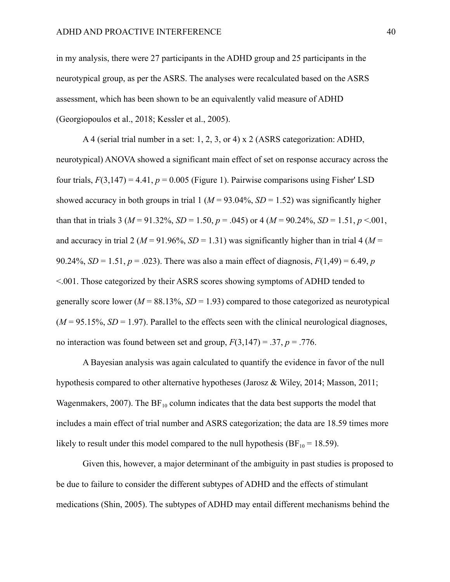in my analysis, there were 27 participants in the ADHD group and 25 participants in the neurotypical group, as per the ASRS. The analyses were recalculated based on the ASRS assessment, which has been shown to be an equivalently valid measure of ADHD (Georgiopoulos et al., 2018; Kessler et al., 2005).

A 4 (serial trial number in a set: 1, 2, 3, or 4) x 2 (ASRS categorization: ADHD, neurotypical) ANOVA showed a significant main effect of set on response accuracy across the four trials,  $F(3,147) = 4.41$ ,  $p = 0.005$  (Figure 1). Pairwise comparisons using Fisher' LSD showed accuracy in both groups in trial  $1 (M = 93.04\%, SD = 1.52)$  was significantly higher than that in trials 3 ( $M = 91.32\%$ ,  $SD = 1.50$ ,  $p = .045$ ) or 4 ( $M = 90.24\%$ ,  $SD = 1.51$ ,  $p < .001$ , and accuracy in trial 2 ( $M = 91.96\%$ ,  $SD = 1.31$ ) was significantly higher than in trial 4 ( $M =$ 90.24%, *SD* = 1.51,  $p = .023$ ). There was also a main effect of diagnosis,  $F(1,49) = 6.49$ , *p* <.001. Those categorized by their ASRS scores showing symptoms of ADHD tended to generally score lower ( $M = 88.13\%$ ,  $SD = 1.93$ ) compared to those categorized as neurotypical  $(M = 95.15\%, SD = 1.97)$ . Parallel to the effects seen with the clinical neurological diagnoses, no interaction was found between set and group,  $F(3,147) = .37$ ,  $p = .776$ .

A Bayesian analysis was again calculated to quantify the evidence in favor of the null hypothesis compared to other alternative hypotheses (Jarosz & Wiley, 2014; Masson, 2011; Wagenmakers, 2007). The  $BF_{10}$  column indicates that the data best supports the model that includes a main effect of trial number and ASRS categorization; the data are 18.59 times more likely to result under this model compared to the null hypothesis ( $BF_{10} = 18.59$ ).

Given this, however, a major determinant of the ambiguity in past studies is proposed to be due to failure to consider the different subtypes of ADHD and the effects of stimulant medications (Shin, 2005). The subtypes of ADHD may entail different mechanisms behind the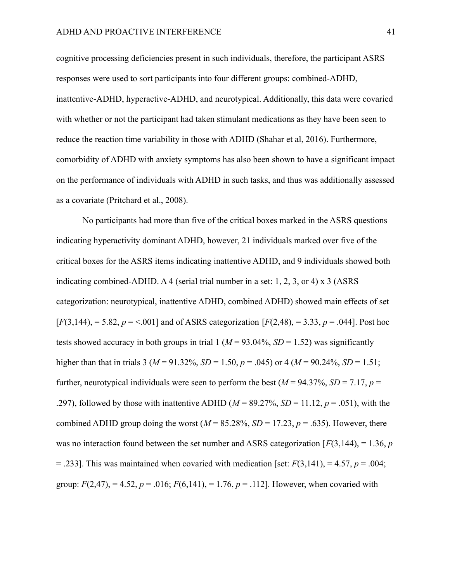cognitive processing deficiencies present in such individuals, therefore, the participant ASRS responses were used to sort participants into four different groups: combined-ADHD, inattentive-ADHD, hyperactive-ADHD, and neurotypical. Additionally, this data were covaried with whether or not the participant had taken stimulant medications as they have been seen to reduce the reaction time variability in those with ADHD (Shahar et al, 2016). Furthermore, comorbidity of ADHD with anxiety symptoms has also been shown to have a significant impact on the performance of individuals with ADHD in such tasks, and thus was additionally assessed as a covariate (Pritchard et al., 2008).

No participants had more than five of the critical boxes marked in the ASRS questions indicating hyperactivity dominant ADHD, however, 21 individuals marked over five of the critical boxes for the ASRS items indicating inattentive ADHD, and 9 individuals showed both indicating combined-ADHD. A 4 (serial trial number in a set: 1, 2, 3, or 4) x 3 (ASRS categorization: neurotypical, inattentive ADHD, combined ADHD) showed main effects of set  $[F(3,144)] = 5.82, p = 0.001]$  and of ASRS categorization  $[F(2,48)] = 3.33, p = .044]$ . Post hoc tests showed accuracy in both groups in trial  $1 (M = 93.04\%, SD = 1.52)$  was significantly higher than that in trials 3 ( $M = 91.32\%$ ,  $SD = 1.50$ ,  $p = .045$ ) or 4 ( $M = 90.24\%$ ,  $SD = 1.51$ ; further, neurotypical individuals were seen to perform the best ( $M = 94.37\%$ ,  $SD = 7.17$ ,  $p =$ .297), followed by those with inattentive ADHD ( $M = 89.27\%$ ,  $SD = 11.12$ ,  $p = .051$ ), with the combined ADHD group doing the worst ( $M = 85.28\%$ ,  $SD = 17.23$ ,  $p = .635$ ). However, there was no interaction found between the set number and ASRS categorization  $[F(3,144)] = 1.36$ , *p*  $=$  .233]. This was maintained when covaried with medication [set:  $F(3,141)$ ,  $=$  4.57,  $p = .004$ ; group:  $F(2,47)$ , = 4.52,  $p = .016$ ;  $F(6,141)$ , = 1.76,  $p = .112$ . However, when covaried with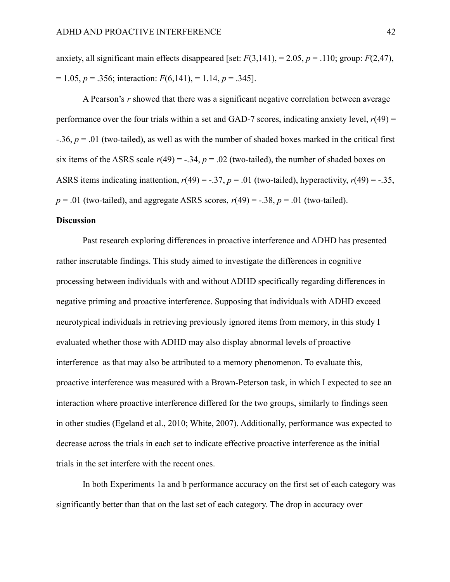anxiety, all significant main effects disappeared [set:  $F(3,141)$ , = 2.05,  $p = .110$ ; group:  $F(2,47)$ , = 1.05, *p* = .356; interaction: *F*(6,141), = 1.14, *p* = .345].

A Pearson's *r* showed that there was a significant negative correlation between average performance over the four trials within a set and GAD-7 scores, indicating anxiety level,  $r(49)$  = -.36, *p* = .01 (two-tailed), as well as with the number of shaded boxes marked in the critical first six items of the ASRS scale  $r(49) = -.34$ ,  $p = .02$  (two-tailed), the number of shaded boxes on ASRS items indicating inattention,  $r(49) = -.37$ ,  $p = .01$  (two-tailed), hyperactivity,  $r(49) = -.35$ ,  $p = .01$  (two-tailed), and aggregate ASRS scores,  $r(49) = -.38$ ,  $p = .01$  (two-tailed).

### **Discussion**

Past research exploring differences in proactive interference and ADHD has presented rather inscrutable findings. This study aimed to investigate the differences in cognitive processing between individuals with and without ADHD specifically regarding differences in negative priming and proactive interference. Supposing that individuals with ADHD exceed neurotypical individuals in retrieving previously ignored items from memory, in this study I evaluated whether those with ADHD may also display abnormal levels of proactive interference–as that may also be attributed to a memory phenomenon. To evaluate this, proactive interference was measured with a Brown-Peterson task, in which I expected to see an interaction where proactive interference differed for the two groups, similarly to findings seen in other studies (Egeland et al., 2010; White, 2007). Additionally, performance was expected to decrease across the trials in each set to indicate effective proactive interference as the initial trials in the set interfere with the recent ones.

In both Experiments 1a and b performance accuracy on the first set of each category was significantly better than that on the last set of each category. The drop in accuracy over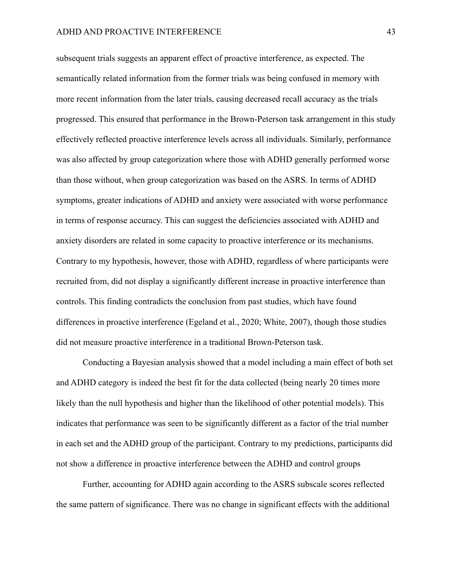subsequent trials suggests an apparent effect of proactive interference, as expected. The semantically related information from the former trials was being confused in memory with more recent information from the later trials, causing decreased recall accuracy as the trials progressed. This ensured that performance in the Brown-Peterson task arrangement in this study effectively reflected proactive interference levels across all individuals. Similarly, performance was also affected by group categorization where those with ADHD generally performed worse than those without, when group categorization was based on the ASRS. In terms of ADHD symptoms, greater indications of ADHD and anxiety were associated with worse performance in terms of response accuracy. This can suggest the deficiencies associated with ADHD and anxiety disorders are related in some capacity to proactive interference or its mechanisms. Contrary to my hypothesis, however, those with ADHD, regardless of where participants were recruited from, did not display a significantly different increase in proactive interference than controls. This finding contradicts the conclusion from past studies, which have found differences in proactive interference (Egeland et al., 2020; White, 2007), though those studies did not measure proactive interference in a traditional Brown-Peterson task.

Conducting a Bayesian analysis showed that a model including a main effect of both set and ADHD category is indeed the best fit for the data collected (being nearly 20 times more likely than the null hypothesis and higher than the likelihood of other potential models). This indicates that performance was seen to be significantly different as a factor of the trial number in each set and the ADHD group of the participant. Contrary to my predictions, participants did not show a difference in proactive interference between the ADHD and control groups

Further, accounting for ADHD again according to the ASRS subscale scores reflected the same pattern of significance. There was no change in significant effects with the additional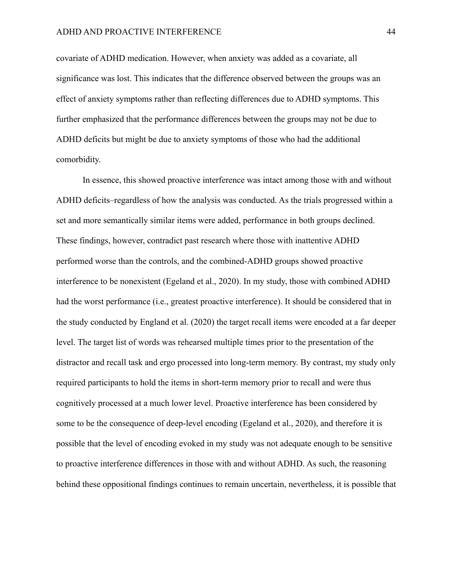covariate of ADHD medication. However, when anxiety was added as a covariate, all significance was lost. This indicates that the difference observed between the groups was an effect of anxiety symptoms rather than reflecting differences due to ADHD symptoms. This further emphasized that the performance differences between the groups may not be due to ADHD deficits but might be due to anxiety symptoms of those who had the additional comorbidity.

In essence, this showed proactive interference was intact among those with and without ADHD deficits–regardless of how the analysis was conducted. As the trials progressed within a set and more semantically similar items were added, performance in both groups declined. These findings, however, contradict past research where those with inattentive ADHD performed worse than the controls, and the combined-ADHD groups showed proactive interference to be nonexistent (Egeland et al., 2020). In my study, those with combined ADHD had the worst performance (i.e., greatest proactive interference). It should be considered that in the study conducted by England et al. (2020) the target recall items were encoded at a far deeper level. The target list of words was rehearsed multiple times prior to the presentation of the distractor and recall task and ergo processed into long-term memory. By contrast, my study only required participants to hold the items in short-term memory prior to recall and were thus cognitively processed at a much lower level. Proactive interference has been considered by some to be the consequence of deep-level encoding (Egeland et al., 2020), and therefore it is possible that the level of encoding evoked in my study was not adequate enough to be sensitive to proactive interference differences in those with and without ADHD. As such, the reasoning behind these oppositional findings continues to remain uncertain, nevertheless, it is possible that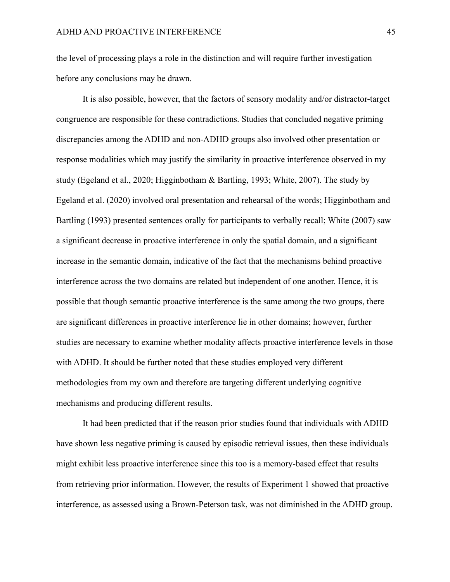the level of processing plays a role in the distinction and will require further investigation before any conclusions may be drawn.

It is also possible, however, that the factors of sensory modality and/or distractor-target congruence are responsible for these contradictions. Studies that concluded negative priming discrepancies among the ADHD and non-ADHD groups also involved other presentation or response modalities which may justify the similarity in proactive interference observed in my study (Egeland et al., 2020; Higginbotham & Bartling, 1993; White, 2007). The study by Egeland et al. (2020) involved oral presentation and rehearsal of the words; Higginbotham and Bartling (1993) presented sentences orally for participants to verbally recall; White (2007) saw a significant decrease in proactive interference in only the spatial domain, and a significant increase in the semantic domain, indicative of the fact that the mechanisms behind proactive interference across the two domains are related but independent of one another. Hence, it is possible that though semantic proactive interference is the same among the two groups, there are significant differences in proactive interference lie in other domains; however, further studies are necessary to examine whether modality affects proactive interference levels in those with ADHD. It should be further noted that these studies employed very different methodologies from my own and therefore are targeting different underlying cognitive mechanisms and producing different results.

It had been predicted that if the reason prior studies found that individuals with ADHD have shown less negative priming is caused by episodic retrieval issues, then these individuals might exhibit less proactive interference since this too is a memory-based effect that results from retrieving prior information. However, the results of Experiment 1 showed that proactive interference, as assessed using a Brown-Peterson task, was not diminished in the ADHD group.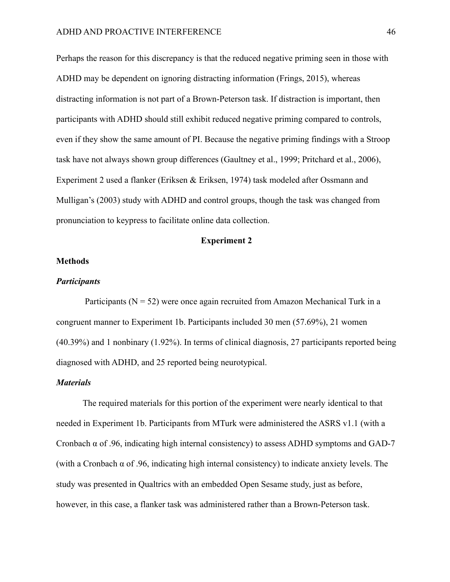Perhaps the reason for this discrepancy is that the reduced negative priming seen in those with ADHD may be dependent on ignoring distracting information (Frings, 2015), whereas distracting information is not part of a Brown-Peterson task. If distraction is important, then participants with ADHD should still exhibit reduced negative priming compared to controls, even if they show the same amount of PI. Because the negative priming findings with a Stroop task have not always shown group differences (Gaultney et al., 1999; Pritchard et al., 2006), Experiment 2 used a flanker (Eriksen & Eriksen, 1974) task modeled after Ossmann and Mulligan's (2003) study with ADHD and control groups, though the task was changed from pronunciation to keypress to facilitate online data collection.

## **Experiment 2**

### **Methods**

### *Participants*

Participants ( $N = 52$ ) were once again recruited from Amazon Mechanical Turk in a congruent manner to Experiment 1b. Participants included 30 men (57.69%), 21 women (40.39%) and 1 nonbinary (1.92%). In terms of clinical diagnosis, 27 participants reported being diagnosed with ADHD, and 25 reported being neurotypical.

#### *Materials*

The required materials for this portion of the experiment were nearly identical to that needed in Experiment 1b. Participants from MTurk were administered the ASRS v1.1 (with a Cronbach  $\alpha$  of .96, indicating high internal consistency) to assess ADHD symptoms and GAD-7 (with a Cronbach  $\alpha$  of .96, indicating high internal consistency) to indicate anxiety levels. The study was presented in Qualtrics with an embedded Open Sesame study, just as before, however, in this case, a flanker task was administered rather than a Brown-Peterson task.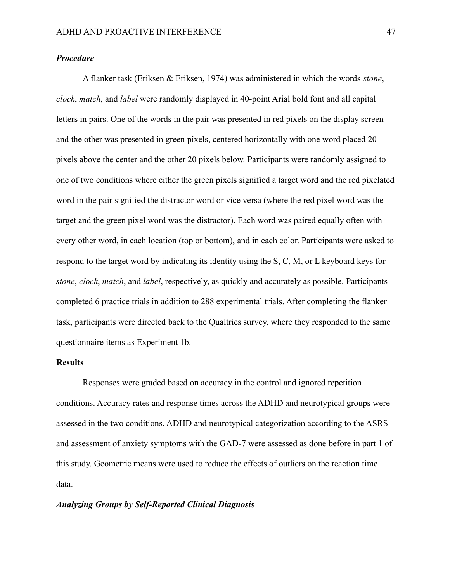# *Procedure*

A flanker task (Eriksen & Eriksen, 1974) was administered in which the words *stone*, *clock*, *match*, and *label* were randomly displayed in 40-point Arial bold font and all capital letters in pairs. One of the words in the pair was presented in red pixels on the display screen and the other was presented in green pixels, centered horizontally with one word placed 20 pixels above the center and the other 20 pixels below. Participants were randomly assigned to one of two conditions where either the green pixels signified a target word and the red pixelated word in the pair signified the distractor word or vice versa (where the red pixel word was the target and the green pixel word was the distractor). Each word was paired equally often with every other word, in each location (top or bottom), and in each color. Participants were asked to respond to the target word by indicating its identity using the S, C, M, or L keyboard keys for *stone*, *clock*, *match*, and *label*, respectively, as quickly and accurately as possible. Participants completed 6 practice trials in addition to 288 experimental trials. After completing the flanker task, participants were directed back to the Qualtrics survey, where they responded to the same questionnaire items as Experiment 1b.

### **Results**

Responses were graded based on accuracy in the control and ignored repetition conditions. Accuracy rates and response times across the ADHD and neurotypical groups were assessed in the two conditions. ADHD and neurotypical categorization according to the ASRS and assessment of anxiety symptoms with the GAD-7 were assessed as done before in part 1 of this study. Geometric means were used to reduce the effects of outliers on the reaction time data.

#### *Analyzing Groups by Self-Reported Clinical Diagnosis*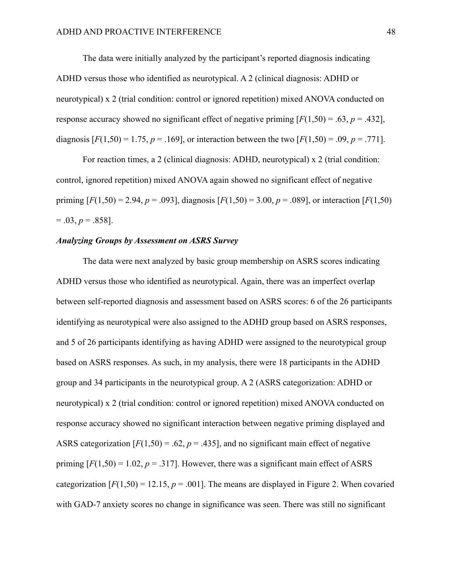The data were initially analyzed by the participant's reported diagnosis indicating ADHD versus those who identified as neurotypical. A 2 (clinical diagnosis: ADHD or neurotypical) x 2 (trial condition: control or ignored repetition) mixed ANOVA conducted on response accuracy showed no significant effect of negative priming  $[F(1,50) = .63, p = .432]$ , diagnosis  $[F(1,50) = 1.75, p = .169]$ , or interaction between the two  $[F(1,50) = .09, p = .771]$ .

For reaction times, a 2 (clinical diagnosis: ADHD, neurotypical) x 2 (trial condition: control, ignored repetition) mixed ANOVA again showed no significant effect of negative priming  $[F(1,50) = 2.94, p = .093]$ , diagnosis  $[F(1,50) = 3.00, p = .089]$ , or interaction  $[F(1,50)$  $= .03, p = .858$ ].

### *Analyzing Groups by Assessment on ASRS Survey*

The data were next analyzed by basic group membership on ASRS scores indicating ADHD versus those who identified as neurotypical. Again, there was an imperfect overlap between self-reported diagnosis and assessment based on ASRS scores: 6 of the 26 participants identifying as neurotypical were also assigned to the ADHD group based on ASRS responses, and 5 of 26 participants identifying as having ADHD were assigned to the neurotypical group based on ASRS responses. As such, in my analysis, there were 18 participants in the ADHD group and 34 participants in the neurotypical group. A 2 (ASRS categorization: ADHD or neurotypical) x 2 (trial condition: control or ignored repetition) mixed ANOVA conducted on response accuracy showed no significant interaction between negative priming displayed and ASRS categorization  $[F(1,50) = .62, p = .435]$ , and no significant main effect of negative priming  $[F(1,50) = 1.02, p = .317]$ . However, there was a significant main effect of ASRS categorization  $[F(1,50) = 12.15, p = .001]$ . The means are displayed in Figure 2. When covaried with GAD-7 anxiety scores no change in significance was seen. There was still no significant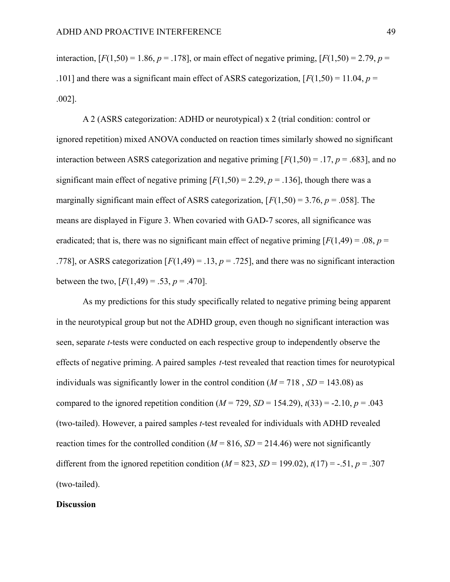interaction,  $[F(1,50) = 1.86, p = .178]$ , or main effect of negative priming,  $[F(1,50) = 2.79, p = .178]$ .101] and there was a significant main effect of ASRS categorization,  $[F(1,50) = 11.04, p =$ .002].

A 2 (ASRS categorization: ADHD or neurotypical) x 2 (trial condition: control or ignored repetition) mixed ANOVA conducted on reaction times similarly showed no significant interaction between ASRS categorization and negative priming  $[F(1,50) = .17, p = .683]$ , and no significant main effect of negative priming  $[F(1,50) = 2.29, p = .136]$ , though there was a marginally significant main effect of ASRS categorization,  $[F(1,50) = 3.76, p = .058]$ . The means are displayed in Figure 3. When covaried with GAD-7 scores, all significance was eradicated; that is, there was no significant main effect of negative priming  $[F(1,49) = .08, p =$ .778], or ASRS categorization  $[F(1,49) = .13, p = .725]$ , and there was no significant interaction between the two,  $[F(1,49) = .53, p = .470]$ .

As my predictions for this study specifically related to negative priming being apparent in the neurotypical group but not the ADHD group, even though no significant interaction was seen, separate *t*-tests were conducted on each respective group to independently observe the effects of negative priming. A paired samples *t*-test revealed that reaction times for neurotypical individuals was significantly lower in the control condition ( $M = 718$ ,  $SD = 143.08$ ) as compared to the ignored repetition condition ( $M = 729$ ,  $SD = 154.29$ ),  $t(33) = -2.10$ ,  $p = .043$ (two-tailed). However, a paired samples *t*-test revealed for individuals with ADHD revealed reaction times for the controlled condition ( $M = 816$ ,  $SD = 214.46$ ) were not significantly different from the ignored repetition condition ( $M = 823$ ,  $SD = 199.02$ ),  $t(17) = -.51$ ,  $p = .307$ (two-tailed).

#### **Discussion**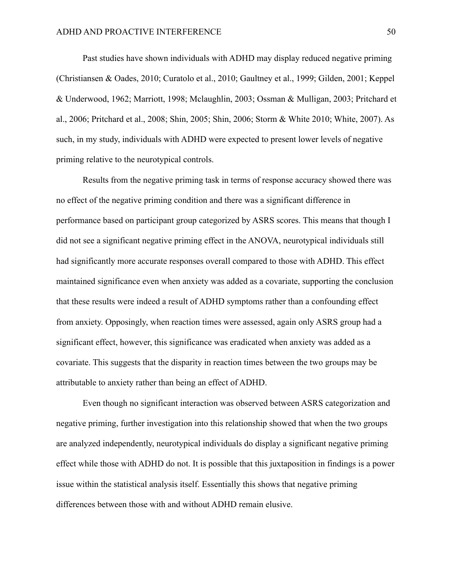Past studies have shown individuals with ADHD may display reduced negative priming (Christiansen & Oades, 2010; Curatolo et al., 2010; Gaultney et al., 1999; Gilden, 2001; Keppel & Underwood, 1962; Marriott, 1998; Mclaughlin, 2003; Ossman & Mulligan, 2003; Pritchard et al., 2006; Pritchard et al., 2008; Shin, 2005; Shin, 2006; Storm & White 2010; White, 2007). As such, in my study, individuals with ADHD were expected to present lower levels of negative priming relative to the neurotypical controls.

Results from the negative priming task in terms of response accuracy showed there was no effect of the negative priming condition and there was a significant difference in performance based on participant group categorized by ASRS scores. This means that though I did not see a significant negative priming effect in the ANOVA, neurotypical individuals still had significantly more accurate responses overall compared to those with ADHD. This effect maintained significance even when anxiety was added as a covariate, supporting the conclusion that these results were indeed a result of ADHD symptoms rather than a confounding effect from anxiety. Opposingly, when reaction times were assessed, again only ASRS group had a significant effect, however, this significance was eradicated when anxiety was added as a covariate. This suggests that the disparity in reaction times between the two groups may be attributable to anxiety rather than being an effect of ADHD.

Even though no significant interaction was observed between ASRS categorization and negative priming, further investigation into this relationship showed that when the two groups are analyzed independently, neurotypical individuals do display a significant negative priming effect while those with ADHD do not. It is possible that this juxtaposition in findings is a power issue within the statistical analysis itself. Essentially this shows that negative priming differences between those with and without ADHD remain elusive.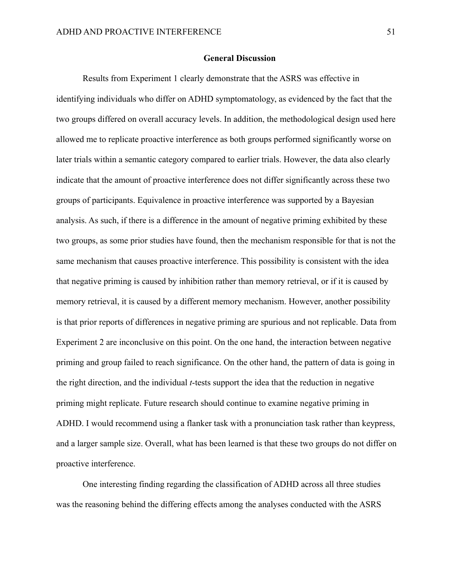### **General Discussion**

Results from Experiment 1 clearly demonstrate that the ASRS was effective in identifying individuals who differ on ADHD symptomatology, as evidenced by the fact that the two groups differed on overall accuracy levels. In addition, the methodological design used here allowed me to replicate proactive interference as both groups performed significantly worse on later trials within a semantic category compared to earlier trials. However, the data also clearly indicate that the amount of proactive interference does not differ significantly across these two groups of participants. Equivalence in proactive interference was supported by a Bayesian analysis. As such, if there is a difference in the amount of negative priming exhibited by these two groups, as some prior studies have found, then the mechanism responsible for that is not the same mechanism that causes proactive interference. This possibility is consistent with the idea that negative priming is caused by inhibition rather than memory retrieval, or if it is caused by memory retrieval, it is caused by a different memory mechanism. However, another possibility is that prior reports of differences in negative priming are spurious and not replicable. Data from Experiment 2 are inconclusive on this point. On the one hand, the interaction between negative priming and group failed to reach significance. On the other hand, the pattern of data is going in the right direction, and the individual *t*-tests support the idea that the reduction in negative priming might replicate. Future research should continue to examine negative priming in ADHD. I would recommend using a flanker task with a pronunciation task rather than keypress, and a larger sample size. Overall, what has been learned is that these two groups do not differ on proactive interference.

One interesting finding regarding the classification of ADHD across all three studies was the reasoning behind the differing effects among the analyses conducted with the ASRS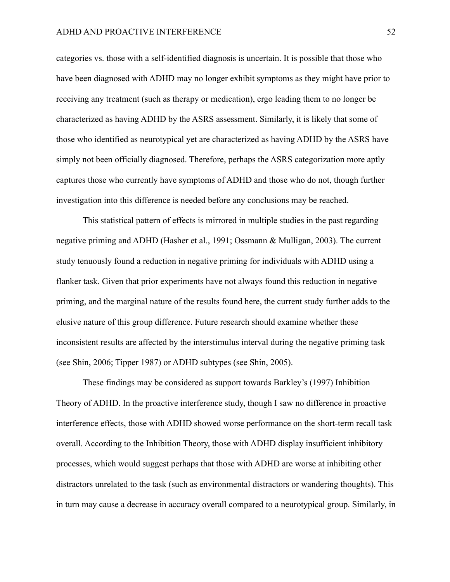categories vs. those with a self-identified diagnosis is uncertain. It is possible that those who have been diagnosed with ADHD may no longer exhibit symptoms as they might have prior to receiving any treatment (such as therapy or medication), ergo leading them to no longer be characterized as having ADHD by the ASRS assessment. Similarly, it is likely that some of those who identified as neurotypical yet are characterized as having ADHD by the ASRS have simply not been officially diagnosed. Therefore, perhaps the ASRS categorization more aptly captures those who currently have symptoms of ADHD and those who do not, though further investigation into this difference is needed before any conclusions may be reached.

This statistical pattern of effects is mirrored in multiple studies in the past regarding negative priming and ADHD (Hasher et al., 1991; Ossmann & Mulligan, 2003). The current study tenuously found a reduction in negative priming for individuals with ADHD using a flanker task. Given that prior experiments have not always found this reduction in negative priming, and the marginal nature of the results found here, the current study further adds to the elusive nature of this group difference. Future research should examine whether these inconsistent results are affected by the interstimulus interval during the negative priming task (see Shin, 2006; Tipper 1987) or ADHD subtypes (see Shin, 2005).

These findings may be considered as support towards Barkley's (1997) Inhibition Theory of ADHD. In the proactive interference study, though I saw no difference in proactive interference effects, those with ADHD showed worse performance on the short-term recall task overall. According to the Inhibition Theory, those with ADHD display insufficient inhibitory processes, which would suggest perhaps that those with ADHD are worse at inhibiting other distractors unrelated to the task (such as environmental distractors or wandering thoughts). This in turn may cause a decrease in accuracy overall compared to a neurotypical group. Similarly, in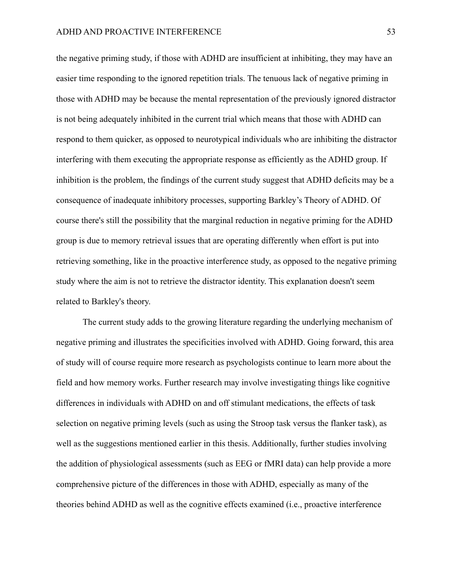the negative priming study, if those with ADHD are insufficient at inhibiting, they may have an easier time responding to the ignored repetition trials. The tenuous lack of negative priming in those with ADHD may be because the mental representation of the previously ignored distractor is not being adequately inhibited in the current trial which means that those with ADHD can respond to them quicker, as opposed to neurotypical individuals who are inhibiting the distractor interfering with them executing the appropriate response as efficiently as the ADHD group. If inhibition is the problem, the findings of the current study suggest that ADHD deficits may be a consequence of inadequate inhibitory processes, supporting Barkley's Theory of ADHD. Of course there's still the possibility that the marginal reduction in negative priming for the ADHD group is due to memory retrieval issues that are operating differently when effort is put into retrieving something, like in the proactive interference study, as opposed to the negative priming study where the aim is not to retrieve the distractor identity. This explanation doesn't seem related to Barkley's theory.

The current study adds to the growing literature regarding the underlying mechanism of negative priming and illustrates the specificities involved with ADHD. Going forward, this area of study will of course require more research as psychologists continue to learn more about the field and how memory works. Further research may involve investigating things like cognitive differences in individuals with ADHD on and off stimulant medications, the effects of task selection on negative priming levels (such as using the Stroop task versus the flanker task), as well as the suggestions mentioned earlier in this thesis. Additionally, further studies involving the addition of physiological assessments (such as EEG or fMRI data) can help provide a more comprehensive picture of the differences in those with ADHD, especially as many of the theories behind ADHD as well as the cognitive effects examined (i.e., proactive interference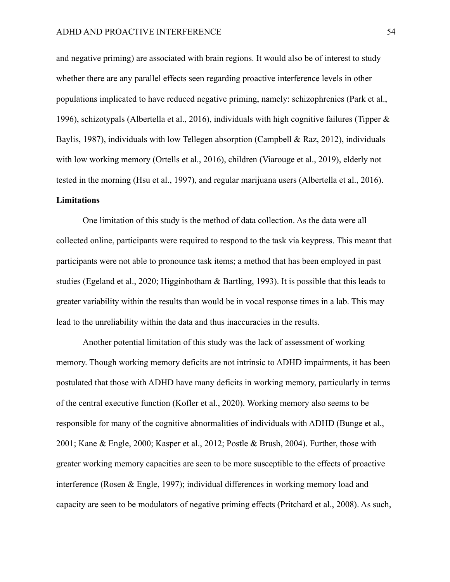and negative priming) are associated with brain regions. It would also be of interest to study whether there are any parallel effects seen regarding proactive interference levels in other populations implicated to have reduced negative priming, namely: schizophrenics (Park et al., 1996), schizotypals (Albertella et al., 2016), individuals with high cognitive failures (Tipper & Baylis, 1987), individuals with low Tellegen absorption (Campbell & Raz, 2012), individuals with low working memory (Ortells et al., 2016), children (Viarouge et al., 2019), elderly not tested in the morning (Hsu et al., 1997), and regular marijuana users (Albertella et al., 2016).

### **Limitations**

One limitation of this study is the method of data collection. As the data were all collected online, participants were required to respond to the task via keypress. This meant that participants were not able to pronounce task items; a method that has been employed in past studies (Egeland et al., 2020; Higginbotham & Bartling, 1993). It is possible that this leads to greater variability within the results than would be in vocal response times in a lab. This may lead to the unreliability within the data and thus inaccuracies in the results.

Another potential limitation of this study was the lack of assessment of working memory. Though working memory deficits are not intrinsic to ADHD impairments, it has been postulated that those with ADHD have many deficits in working memory, particularly in terms of the central executive function (Kofler et al., 2020). Working memory also seems to be responsible for many of the cognitive abnormalities of individuals with ADHD (Bunge et al., 2001; Kane & Engle, 2000; Kasper et al., 2012; Postle & Brush, 2004). Further, those with greater working memory capacities are seen to be more susceptible to the effects of proactive interference (Rosen & Engle, 1997); individual differences in working memory load and capacity are seen to be modulators of negative priming effects (Pritchard et al., 2008). As such,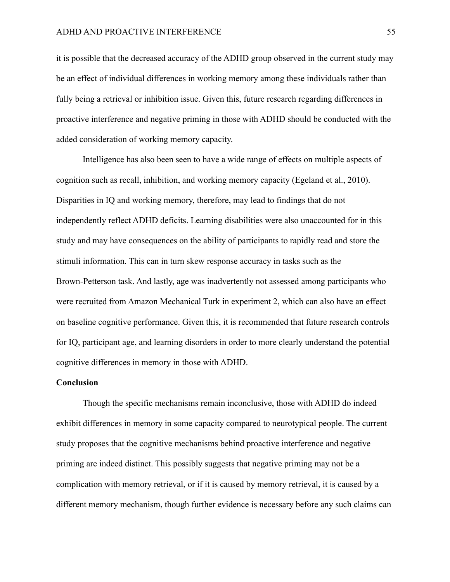it is possible that the decreased accuracy of the ADHD group observed in the current study may be an effect of individual differences in working memory among these individuals rather than fully being a retrieval or inhibition issue. Given this, future research regarding differences in proactive interference and negative priming in those with ADHD should be conducted with the added consideration of working memory capacity.

Intelligence has also been seen to have a wide range of effects on multiple aspects of cognition such as recall, inhibition, and working memory capacity (Egeland et al., 2010). Disparities in IQ and working memory, therefore, may lead to findings that do not independently reflect ADHD deficits. Learning disabilities were also unaccounted for in this study and may have consequences on the ability of participants to rapidly read and store the stimuli information. This can in turn skew response accuracy in tasks such as the Brown-Petterson task. And lastly, age was inadvertently not assessed among participants who were recruited from Amazon Mechanical Turk in experiment 2, which can also have an effect on baseline cognitive performance. Given this, it is recommended that future research controls for IQ, participant age, and learning disorders in order to more clearly understand the potential cognitive differences in memory in those with ADHD.

#### **Conclusion**

Though the specific mechanisms remain inconclusive, those with ADHD do indeed exhibit differences in memory in some capacity compared to neurotypical people. The current study proposes that the cognitive mechanisms behind proactive interference and negative priming are indeed distinct. This possibly suggests that negative priming may not be a complication with memory retrieval, or if it is caused by memory retrieval, it is caused by a different memory mechanism, though further evidence is necessary before any such claims can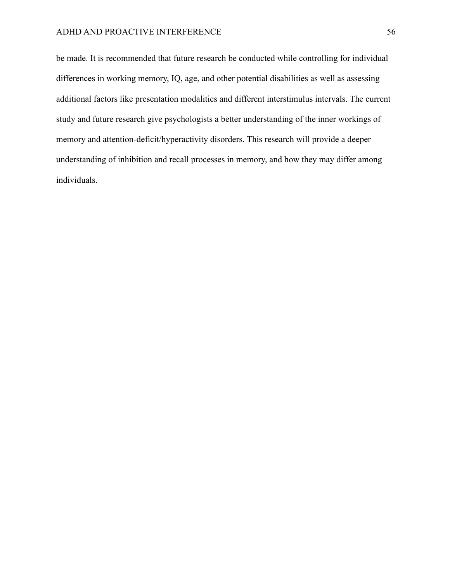be made. It is recommended that future research be conducted while controlling for individual differences in working memory, IQ, age, and other potential disabilities as well as assessing additional factors like presentation modalities and different interstimulus intervals. The current study and future research give psychologists a better understanding of the inner workings of memory and attention-deficit/hyperactivity disorders. This research will provide a deeper understanding of inhibition and recall processes in memory, and how they may differ among individuals.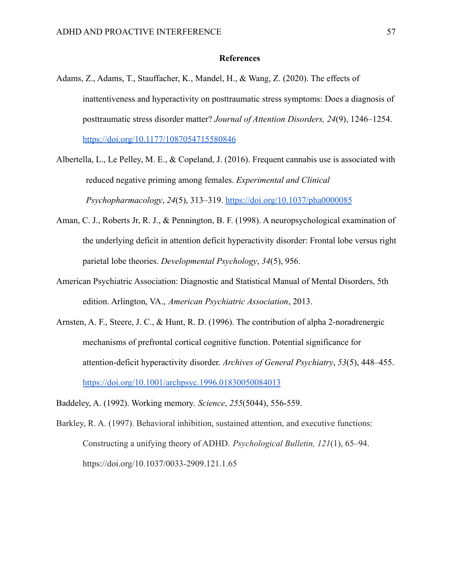### **References**

- Adams, Z., Adams, T., Stauffacher, K., Mandel, H., & Wang, Z. (2020). The effects of inattentiveness and hyperactivity on posttraumatic stress symptoms: Does a diagnosis of posttraumatic stress disorder matter? *Journal of Attention Disorders, 24*(9), 1246–1254. <https://doi.org/10.1177/1087054715580846>
- Albertella, L., Le Pelley, M. E., & Copeland, J. (2016). Frequent cannabis use is associated with reduced negative priming among females. *Experimental and Clinical Psychopharmacology*, *24*(5), 313–319. <https://doi.org/10.1037/pha0000085>
- Aman, C. J., Roberts Jr, R. J., & Pennington, B. F. (1998). A neuropsychological examination of the underlying deficit in attention deficit hyperactivity disorder: Frontal lobe versus right parietal lobe theories. *Developmental Psychology*, *34*(5), 956.
- American Psychiatric Association: Diagnostic and Statistical Manual of Mental Disorders, 5th edition. Arlington, VA., *American Psychiatric Association*, 2013.
- Arnsten, A. F., Steere, J. C., & Hunt, R. D. (1996). The contribution of alpha 2-noradrenergic mechanisms of prefrontal cortical cognitive function. Potential significance for attention-deficit hyperactivity disorder. *Archives of General Psychiatry*, *53*(5), 448–455. <https://doi.org/10.1001/archpsyc.1996.01830050084013>
- Baddeley, A. (1992). Working memory. *Science*, *255*(5044), 556-559.
- Barkley, R. A. (1997). Behavioral inhibition, sustained attention, and executive functions: Constructing a unifying theory of ADHD. *Psychological Bulletin, 121*(1), 65–94. [https://doi.org/10.1037/0033-2909.121.1.65](https://psycnet.apa.org/doi/10.1037/0033-2909.121.1.65)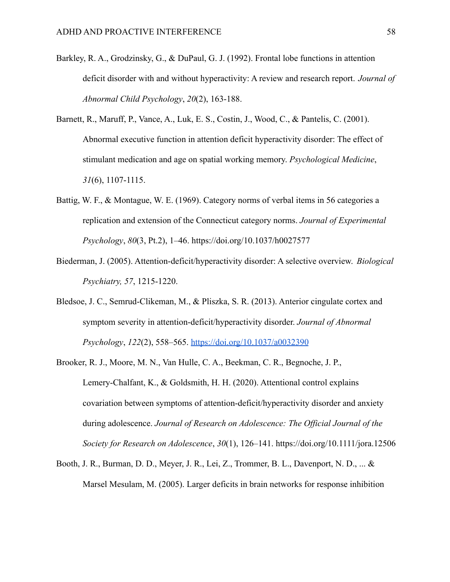- Barkley, R. A., Grodzinsky, G., & DuPaul, G. J. (1992). Frontal lobe functions in attention deficit disorder with and without hyperactivity: A review and research report. *Journal of Abnormal Child Psychology*, *20*(2), 163-188.
- Barnett, R., Maruff, P., Vance, A., Luk, E. S., Costin, J., Wood, C., & Pantelis, C. (2001). Abnormal executive function in attention deficit hyperactivity disorder: The effect of stimulant medication and age on spatial working memory. *Psychological Medicine*, *31*(6), 1107-1115.
- Battig, W. F., & Montague, W. E. (1969). Category norms of verbal items in 56 categories a replication and extension of the Connecticut category norms. *Journal of Experimental Psychology*, *80*(3, Pt.2), 1–46. https://doi.org/10.1037/h0027577
- Biederman, J. (2005). Attention-deficit/hyperactivity disorder: A selective overview. *Biological Psychiatry, 57*, 1215-1220.
- Bledsoe, J. C., Semrud-Clikeman, M., & Pliszka, S. R. (2013). Anterior cingulate cortex and symptom severity in attention-deficit/hyperactivity disorder. *Journal of Abnormal Psychology*, *122*(2), 558–565. <https://doi.org/10.1037/a0032390>
- Brooker, R. J., Moore, M. N., Van Hulle, C. A., Beekman, C. R., Begnoche, J. P., Lemery-Chalfant, K., & Goldsmith, H. H. (2020). Attentional control explains covariation between symptoms of attention-deficit/hyperactivity disorder and anxiety during adolescence. *Journal of Research on Adolescence: The Official Journal of the Society for Research on Adolescence*, *30*(1), 126–141. https://doi.org/10.1111/jora.12506
- Booth, J. R., Burman, D. D., Meyer, J. R., Lei, Z., Trommer, B. L., Davenport, N. D., ... & Marsel Mesulam, M. (2005). Larger deficits in brain networks for response inhibition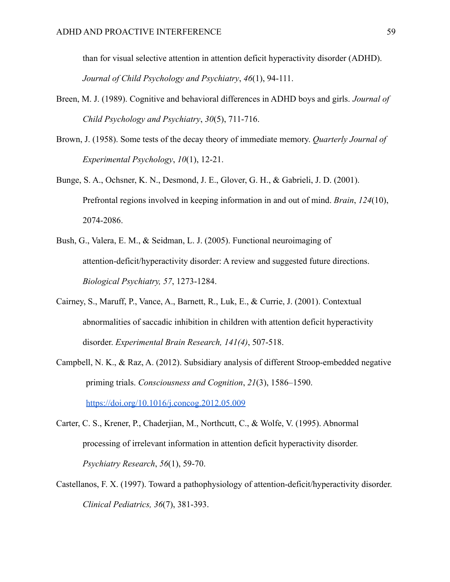than for visual selective attention in attention deficit hyperactivity disorder (ADHD). *Journal of Child Psychology and Psychiatry*, *46*(1), 94-111.

- Breen, M. J. (1989). Cognitive and behavioral differences in ADHD boys and girls. *Journal of Child Psychology and Psychiatry*, *30*(5), 711-716.
- Brown, J. (1958). Some tests of the decay theory of immediate memory. *Quarterly Journal of Experimental Psychology*, *10*(1), 12-21.
- Bunge, S. A., Ochsner, K. N., Desmond, J. E., Glover, G. H., & Gabrieli, J. D. (2001). Prefrontal regions involved in keeping information in and out of mind. *Brain*, *124*(10), 2074-2086.
- Bush, G., Valera, E. M., & Seidman, L. J. (2005). Functional neuroimaging of attention-deficit/hyperactivity disorder: A review and suggested future directions. *Biological Psychiatry, 57*, 1273-1284.
- Cairney, S., Maruff, P., Vance, A., Barnett, R., Luk, E., & Currie, J. (2001). Contextual abnormalities of saccadic inhibition in children with attention deficit hyperactivity disorder. *Experimental Brain Research, 141(4)*, 507-518.
- Campbell, N. K., & Raz, A. (2012). Subsidiary analysis of different Stroop-embedded negative priming trials. *Consciousness and Cognition*, *21*(3), 1586–1590. <https://doi.org/10.1016/j.concog.2012.05.009>
- Carter, C. S., Krener, P., Chaderjian, M., Northcutt, C., & Wolfe, V. (1995). Abnormal processing of irrelevant information in attention deficit hyperactivity disorder. *Psychiatry Research*, *56*(1), 59-70.
- Castellanos, F. X. (1997). Toward a pathophysiology of attention-deficit/hyperactivity disorder. *Clinical Pediatrics, 36*(7), 381-393.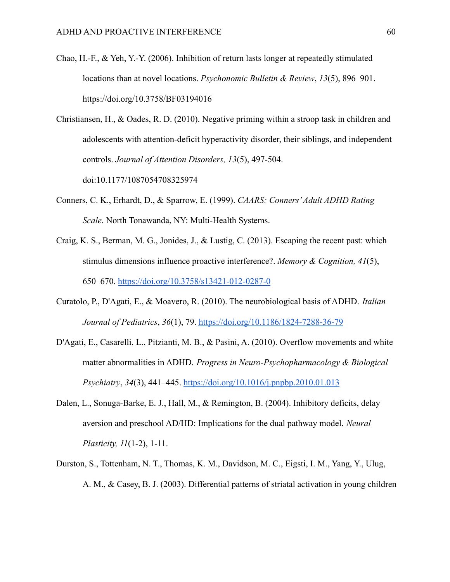- Chao, H.-F., & Yeh, Y.-Y. (2006). Inhibition of return lasts longer at repeatedly stimulated locations than at novel locations. *Psychonomic Bulletin & Review*, *13*(5), 896–901. https://doi.org/10.3758/BF03194016
- Christiansen, H., & Oades, R. D. (2010). Negative priming within a stroop task in children and adolescents with attention-deficit hyperactivity disorder, their siblings, and independent controls. *Journal of Attention Disorders, 13*(5), 497-504. doi:10.1177/1087054708325974
- Conners, C. K., Erhardt, D., & Sparrow, E. (1999). *CAARS: Conners'Adult ADHD Rating Scale.* North Tonawanda, NY: Multi-Health Systems.
- Craig, K. S., Berman, M. G., Jonides, J., & Lustig, C. (2013). Escaping the recent past: which stimulus dimensions influence proactive interference?. *Memory & Cognition, 41*(5), 650–670. <https://doi.org/10.3758/s13421-012-0287-0>
- Curatolo, P., D'Agati, E., & Moavero, R. (2010). The neurobiological basis of ADHD. *Italian Journal of Pediatrics*, *36*(1), 79. <https://doi.org/10.1186/1824-7288-36-79>
- D'Agati, E., Casarelli, L., Pitzianti, M. B., & Pasini, A. (2010). Overflow movements and white matter abnormalities in ADHD. *Progress in Neuro-Psychopharmacology & Biological Psychiatry*, *34*(3), 441–445. <https://doi.org/10.1016/j.pnpbp.2010.01.013>
- Dalen, L., Sonuga-Barke, E. J., Hall, M., & Remington, B. (2004). Inhibitory deficits, delay aversion and preschool AD/HD: Implications for the dual pathway model. *Neural Plasticity, 11*(1-2), 1-11.
- Durston, S., Tottenham, N. T., Thomas, K. M., Davidson, M. C., Eigsti, I. M., Yang, Y., Ulug, A. M., & Casey, B. J. (2003). Differential patterns of striatal activation in young children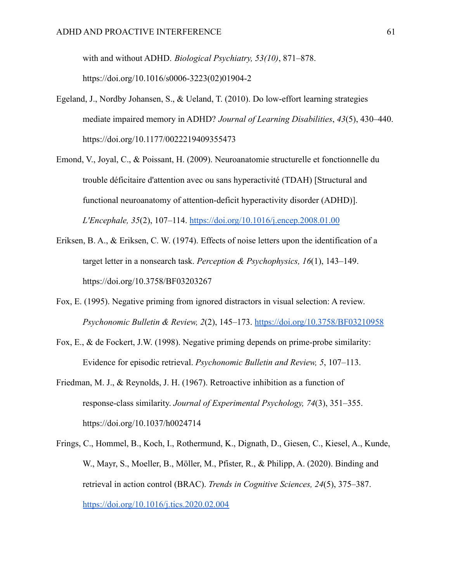with and without ADHD. *Biological Psychiatry, 53(10)*, 871–878. https://doi.org/10.1016/s0006-3223(02)01904-2

- Egeland, J., Nordby Johansen, S., & Ueland, T. (2010). Do low-effort learning strategies mediate impaired memory in ADHD? *Journal of Learning Disabilities*, *43*(5), 430–440. https://doi.org/10.1177/0022219409355473
- Emond, V., Joyal, C., & Poissant, H. (2009). Neuroanatomie structurelle et fonctionnelle du trouble déficitaire d'attention avec ou sans hyperactivité (TDAH) [Structural and functional neuroanatomy of attention-deficit hyperactivity disorder (ADHD)]. *L'Encephale, 35*(2), 107–114. <https://doi.org/10.1016/j.encep.2008.01.00>
- Eriksen, B. A., & Eriksen, C. W. (1974). Effects of noise letters upon the identification of a target letter in a nonsearch task. *Perception & Psychophysics, 16*(1), 143–149. [https://doi.org/10.3758/BF03203267](https://psycnet.apa.org/doi/10.3758/BF03203267)
- Fox, E. (1995). Negative priming from ignored distractors in visual selection: A review. *Psychonomic Bulletin & Review, 2*(2), 145–173. [https://doi.org/10.3758/BF03210958](https://psycnet.apa.org/doi/10.3758/BF03210958)
- Fox, E., & de Fockert, J.W. (1998). Negative priming depends on prime-probe similarity: Evidence for episodic retrieval. *Psychonomic Bulletin and Review, 5*, 107–113.
- Friedman, M. J., & Reynolds, J. H. (1967). Retroactive inhibition as a function of response-class similarity. *Journal of Experimental Psychology, 74*(3), 351–355. [https://doi.org/10.1037/h0024714](https://psycnet.apa.org/doi/10.1037/h0024714)
- Frings, C., Hommel, B., Koch, I., Rothermund, K., Dignath, D., Giesen, C., Kiesel, A., Kunde, W., Mayr, S., Moeller, B., Möller, M., Pfister, R., & Philipp, A. (2020). Binding and retrieval in action control (BRAC). *Trends in Cognitive Sciences, 24*(5), 375–387. <https://doi.org/10.1016/j.tics.2020.02.004>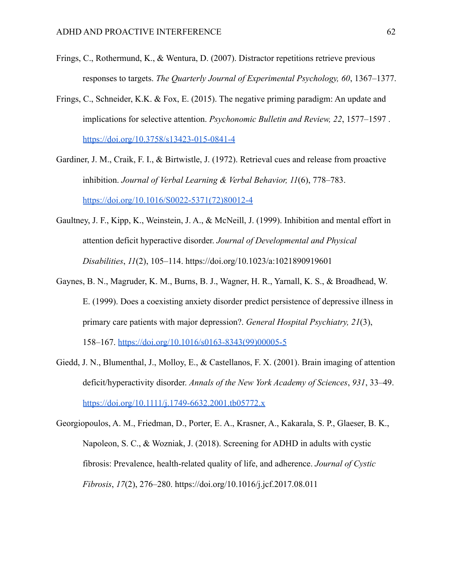- Frings, C., Rothermund, K., & Wentura, D. (2007). Distractor repetitions retrieve previous responses to targets. *The Quarterly Journal of Experimental Psychology, 60*, 1367–1377.
- Frings, C., Schneider, K.K. & Fox, E. (2015). The negative priming paradigm: An update and implications for selective attention. *Psychonomic Bulletin and Review, 22*, 1577–1597 . <https://doi.org/10.3758/s13423-015-0841-4>
- Gardiner, J. M., Craik, F. I., & Birtwistle, J. (1972). Retrieval cues and release from proactive inhibition. *Journal of Verbal Learning & Verbal Behavior, 11*(6), 778–783. [https://doi.org/10.1016/S0022-5371\(72\)80012-4](https://doi.org/10.1016/S0022-5371(72)80012-4)
- Gaultney, J. F., Kipp, K., Weinstein, J. A., & McNeill, J. (1999). Inhibition and mental effort in attention deficit hyperactive disorder. *Journal of Developmental and Physical Disabilities*, *11*(2), 105–114. https://doi.org/10.1023/a:1021890919601
- Gaynes, B. N., Magruder, K. M., Burns, B. J., Wagner, H. R., Yarnall, K. S., & Broadhead, W. E. (1999). Does a coexisting anxiety disorder predict persistence of depressive illness in primary care patients with major depression?. *General Hospital Psychiatry, 21*(3), 158–167. [https://doi.org/10.1016/s0163-8343\(99\)00005-5](https://doi.org/10.1016/s0163-8343(99)00005-5)
- Giedd, J. N., Blumenthal, J., Molloy, E., & Castellanos, F. X. (2001). Brain imaging of attention deficit/hyperactivity disorder. *Annals of the New York Academy of Sciences*, *931*, 33–49. <https://doi.org/10.1111/j.1749-6632.2001.tb05772.x>

Georgiopoulos, A. M., Friedman, D., Porter, E. A., Krasner, A., Kakarala, S. P., Glaeser, B. K., Napoleon, S. C., & Wozniak, J. (2018). Screening for ADHD in adults with cystic fibrosis: Prevalence, health-related quality of life, and adherence. *Journal of Cystic Fibrosis*, *17*(2), 276–280. https://doi.org/10.1016/j.jcf.2017.08.011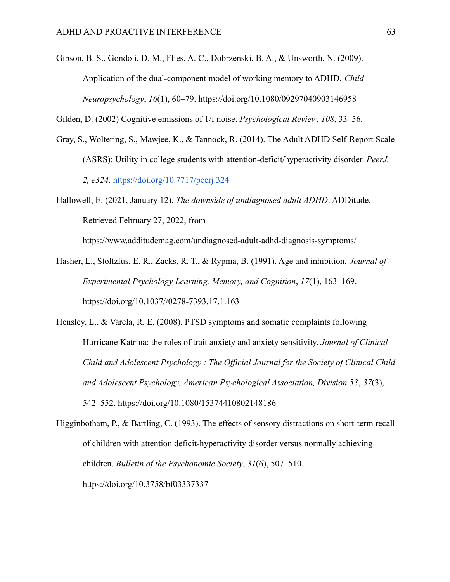Gibson, B. S., Gondoli, D. M., Flies, A. C., Dobrzenski, B. A., & Unsworth, N. (2009). Application of the dual-component model of working memory to ADHD. *Child Neuropsychology*, *16*(1), 60–79. https://doi.org/10.1080/09297040903146958

Gilden, D. (2002) Cognitive emissions of 1/f noise. *Psychological Review, 108*, 33–56.

- Gray, S., Woltering, S., Mawjee, K., & Tannock, R. (2014). The Adult ADHD Self-Report Scale (ASRS): Utility in college students with attention-deficit/hyperactivity disorder. *PeerJ, 2, e324*. <https://doi.org/10.7717/peerj.324>
- Hallowell, E. (2021, January 12). *The downside of undiagnosed adult ADHD*. ADDitude. Retrieved February 27, 2022, from

https://www.additudemag.com/undiagnosed-adult-adhd-diagnosis-symptoms/

- Hasher, L., Stoltzfus, E. R., Zacks, R. T., & Rypma, B. (1991). Age and inhibition. *Journal of Experimental Psychology Learning, Memory, and Cognition*, *17*(1), 163–169. https://doi.org/10.1037//0278-7393.17.1.163
- Hensley, L., & Varela, R. E. (2008). PTSD symptoms and somatic complaints following Hurricane Katrina: the roles of trait anxiety and anxiety sensitivity. *Journal of Clinical Child and Adolescent Psychology : The Official Journal for the Society of Clinical Child and Adolescent Psychology, American Psychological Association, Division 53*, *37*(3), 542–552. https://doi.org/10.1080/15374410802148186
- Higginbotham, P., & Bartling, C. (1993). The effects of sensory distractions on short-term recall of children with attention deficit-hyperactivity disorder versus normally achieving children. *Bulletin of the Psychonomic Society*, *31*(6), 507–510. https://doi.org/10.3758/bf03337337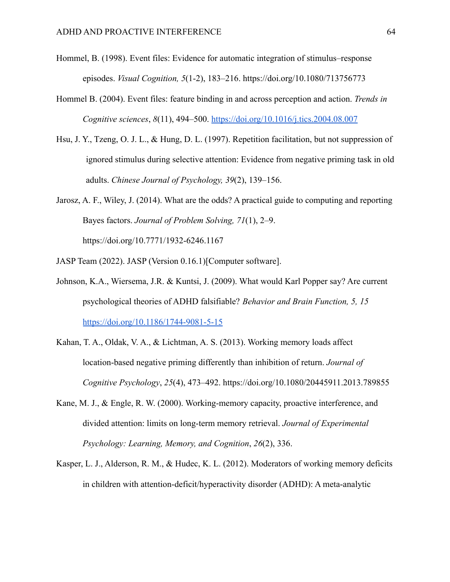- Hommel, B. (1998). Event files: Evidence for automatic integration of stimulus–response episodes. *Visual Cognition, 5*(1-2), 183–216. [https://doi.org/10.1080/713756773](https://psycnet.apa.org/doi/10.1080/713756773)
- Hommel B. (2004). Event files: feature binding in and across perception and action. *Trends in Cognitive sciences*, *8*(11), 494–500. <https://doi.org/10.1016/j.tics.2004.08.007>
- Hsu, J. Y., Tzeng, O. J. L., & Hung, D. L. (1997). Repetition facilitation, but not suppression of ignored stimulus during selective attention: Evidence from negative priming task in old adults. *Chinese Journal of Psychology, 39*(2), 139–156.
- Jarosz, A. F., Wiley, J. (2014). What are the odds? A practical guide to computing and reporting Bayes factors. *Journal of Problem Solving, 71*(1), 2–9. <https://doi.org/10.7771/1932-6246.1167>
- JASP Team (2022). JASP (Version 0.16.1)[Computer software].
- Johnson, K.A., Wiersema, J.R. & Kuntsi, J. (2009). What would Karl Popper say? Are current psychological theories of ADHD falsifiable? *Behavior and Brain Function, 5, 15* <https://doi.org/10.1186/1744-9081-5-15>
- Kahan, T. A., Oldak, V. A., & Lichtman, A. S. (2013). Working memory loads affect location-based negative priming differently than inhibition of return. *Journal of Cognitive Psychology*, *25*(4), 473–492. https://doi.org/10.1080/20445911.2013.789855
- Kane, M. J., & Engle, R. W. (2000). Working-memory capacity, proactive interference, and divided attention: limits on long-term memory retrieval. *Journal of Experimental Psychology: Learning, Memory, and Cognition*, *26*(2), 336.
- Kasper, L. J., Alderson, R. M., & Hudec, K. L. (2012). Moderators of working memory deficits in children with attention-deficit/hyperactivity disorder (ADHD): A meta-analytic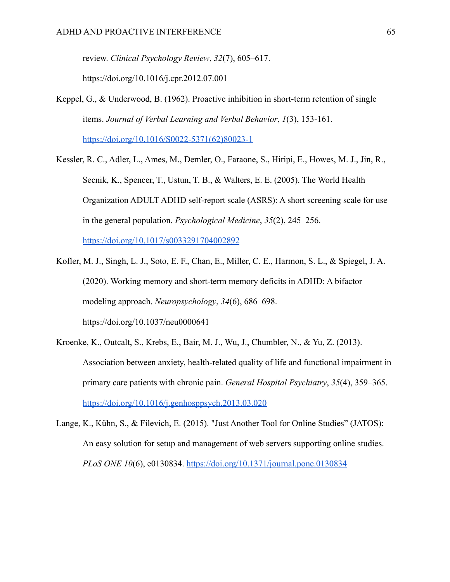review. *Clinical Psychology Review*, *32*(7), 605–617.

https://doi.org/10.1016/j.cpr.2012.07.001

- Keppel, G., & Underwood, B. (1962). Proactive inhibition in short-term retention of single items. *Journal of Verbal Learning and Verbal Behavior*, *1*(3), 153-161. [https://doi.org/10.1016/S0022-5371\(62\)80023-1](https://doi.org/10.1016/S0022-5371(62)80023-1)
- Kessler, R. C., Adler, L., Ames, M., Demler, O., Faraone, S., Hiripi, E., Howes, M. J., Jin, R., Secnik, K., Spencer, T., Ustun, T. B., & Walters, E. E. (2005). The World Health Organization ADULT ADHD self-report scale (ASRS): A short screening scale for use in the general population. *Psychological Medicine*, *35*(2), 245–256. <https://doi.org/10.1017/s0033291704002892>
- Kofler, M. J., Singh, L. J., Soto, E. F., Chan, E., Miller, C. E., Harmon, S. L., & Spiegel, J. A. (2020). Working memory and short-term memory deficits in ADHD: A bifactor modeling approach. *Neuropsychology*, *34*(6), 686–698. https://doi.org/10.1037/neu0000641
- Kroenke, K., Outcalt, S., Krebs, E., Bair, M. J., Wu, J., Chumbler, N., & Yu, Z. (2013). Association between anxiety, health-related quality of life and functional impairment in primary care patients with chronic pain. *General Hospital Psychiatry*, *35*(4), 359–365. <https://doi.org/10.1016/j.genhosppsych.2013.03.020>
- Lange, K., Kühn, S., & Filevich, E. (2015). "Just Another Tool for Online Studies" (JATOS): An easy solution for setup and management of web servers supporting online studies. *PLoS ONE 10*(6), e0130834. <https://doi.org/10.1371/journal.pone.0130834>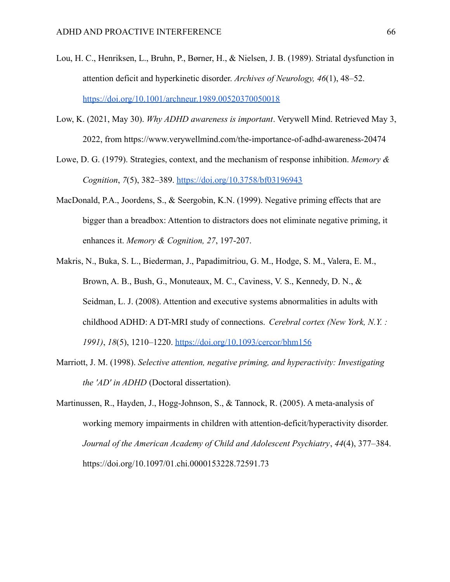- Lou, H. C., Henriksen, L., Bruhn, P., Børner, H., & Nielsen, J. B. (1989). Striatal dysfunction in attention deficit and hyperkinetic disorder. *Archives of Neurology, 46*(1), 48–52. <https://doi.org/10.1001/archneur.1989.00520370050018>
- Low, K. (2021, May 30). *Why ADHD awareness is important*. Verywell Mind. Retrieved May 3, 2022, from https://www.verywellmind.com/the-importance-of-adhd-awareness-20474
- Lowe, D. G. (1979). Strategies, context, and the mechanism of response inhibition. *Memory & Cognition*, *7*(5), 382–389. <https://doi.org/10.3758/bf03196943>
- MacDonald, P.A., Joordens, S., & Seergobin, K.N. (1999). Negative priming effects that are bigger than a breadbox: Attention to distractors does not eliminate negative priming, it enhances it. *Memory & Cognition, 27*, 197-207.
- Makris, N., Buka, S. L., Biederman, J., Papadimitriou, G. M., Hodge, S. M., Valera, E. M., Brown, A. B., Bush, G., Monuteaux, M. C., Caviness, V. S., Kennedy, D. N., & Seidman, L. J. (2008). Attention and executive systems abnormalities in adults with childhood ADHD: A DT-MRI study of connections. *Cerebral cortex (New York, N.Y. : 1991)*, *18*(5), 1210–1220. <https://doi.org/10.1093/cercor/bhm156>
- Marriott, J. M. (1998). *Selective attention, negative priming, and hyperactivity: Investigating the 'AD' in ADHD* (Doctoral dissertation).
- Martinussen, R., Hayden, J., Hogg-Johnson, S., & Tannock, R. (2005). A meta-analysis of working memory impairments in children with attention-deficit/hyperactivity disorder. *Journal of the American Academy of Child and Adolescent Psychiatry*, *44*(4), 377–384. https://doi.org/10.1097/01.chi.0000153228.72591.73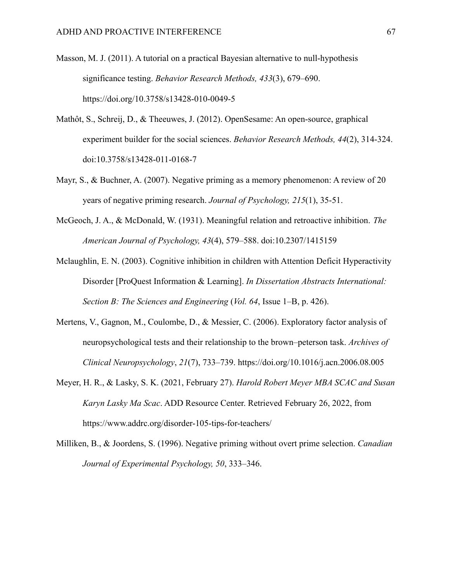- Masson, M. J. (2011). A tutorial on a practical Bayesian alternative to null-hypothesis significance testing. *Behavior Research Methods, 433*(3), 679–690. <https://doi.org/10.3758/s13428-010-0049-5>
- Mathôt, S., Schreij, D., & Theeuwes, J. (2012). OpenSesame: An open-source, graphical experiment builder for the social sciences. *Behavior Research Methods, 44*(2), 314-324. doi:10.3758/s13428-011-0168-7
- Mayr, S., & Buchner, A. (2007). Negative priming as a memory phenomenon: A review of 20 years of negative priming research. *Journal of Psychology, 215*(1), 35-51.
- McGeoch, J. A., & McDonald, W. (1931). Meaningful relation and retroactive inhibition. *The American Journal of Psychology, 43*(4), 579–588. doi:10.2307/1415159
- Mclaughlin, E. N. (2003). Cognitive inhibition in children with Attention Deficit Hyperactivity Disorder [ProQuest Information & Learning]. *In Dissertation Abstracts International: Section B: The Sciences and Engineering* (*Vol. 64*, Issue 1–B, p. 426).
- Mertens, V., Gagnon, M., Coulombe, D., & Messier, C. (2006). Exploratory factor analysis of neuropsychological tests and their relationship to the brown–peterson task. *Archives of Clinical Neuropsychology*, *21*(7), 733–739. https://doi.org/10.1016/j.acn.2006.08.005
- Meyer, H. R., & Lasky, S. K. (2021, February 27). *Harold Robert Meyer MBA SCAC and Susan Karyn Lasky Ma Scac*. ADD Resource Center. Retrieved February 26, 2022, from https://www.addrc.org/disorder-105-tips-for-teachers/
- Milliken, B., & Joordens, S. (1996). Negative priming without overt prime selection. *Canadian Journal of Experimental Psychology, 50*, 333–346.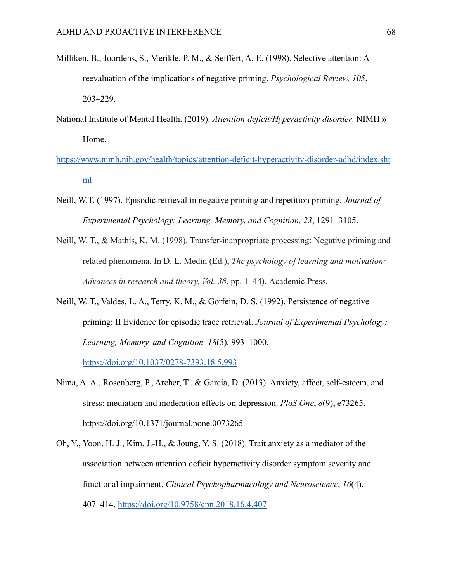- Milliken, B., Joordens, S., Merikle, P. M., & Seiffert, A. E. (1998). Selective attention: A reevaluation of the implications of negative priming. *Psychological Review, 105*, 203–229.
- National Institute of Mental Health. (2019). *Attention-deficit/Hyperactivity disorder*. NIMH » Home.
- [https://www.nimh.nih.gov/health/topics/attention-deficit-hyperactivity-disorder-adhd/index.sht](https://www.nimh.nih.gov/health/topics/attention-deficit-hyperactivity-disorder-adhd/index.shtml) [ml](https://www.nimh.nih.gov/health/topics/attention-deficit-hyperactivity-disorder-adhd/index.shtml)
- Neill, W.T. (1997). Episodic retrieval in negative priming and repetition priming. *Journal of Experimental Psychology: Learning, Memory, and Cognition, 23*, 1291–3105.
- Neill, W. T., & Mathis, K. M. (1998). Transfer-inappropriate processing: Negative priming and related phenomena. In D. L. Medin (Ed.), *The psychology of learning and motivation: Advances in research and theory, Vol. 38*, pp. 1–44). Academic Press.
- Neill, W. T., Valdes, L. A., Terry, K. M., & Gorfein, D. S. (1992). Persistence of negative priming: II Evidence for episodic trace retrieval. *Journal of Experimental Psychology: Learning, Memory, and Cognition, 18*(5), 993–1000.

<https://doi.org/10.1037/0278-7393.18.5.993>

- Nima, A. A., Rosenberg, P., Archer, T., & Garcia, D. (2013). Anxiety, affect, self-esteem, and stress: mediation and moderation effects on depression. *PloS One*, *8*(9), e73265. https://doi.org/10.1371/journal.pone.0073265
- Oh, Y., Yoon, H. J., Kim, J.-H., & Joung, Y. S. (2018). Trait anxiety as a mediator of the association between attention deficit hyperactivity disorder symptom severity and functional impairment. *Clinical Psychopharmacology and Neuroscience*, *16*(4), 407–414. <https://doi.org/10.9758/cpn.2018.16.4.407>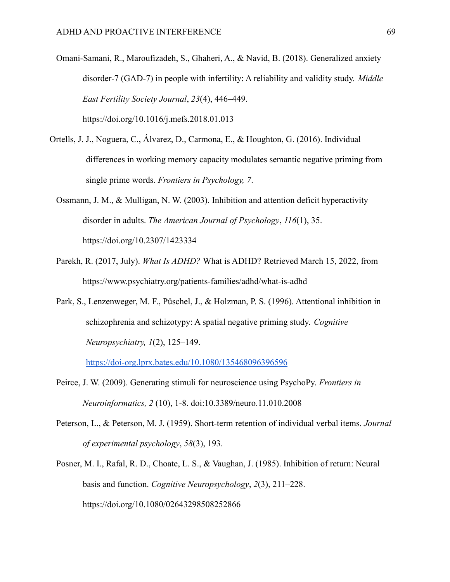- Omani-Samani, R., Maroufizadeh, S., Ghaheri, A., & Navid, B. (2018). Generalized anxiety disorder-7 (GAD-7) in people with infertility: A reliability and validity study. *Middle East Fertility Society Journal*, *23*(4), 446–449. https://doi.org/10.1016/j.mefs.2018.01.013
- Ortells, J. J., Noguera, C., Álvarez, D., Carmona, E., & Houghton, G. (2016). Individual differences in working memory capacity modulates semantic negative priming from single prime words. *Frontiers in Psychology, 7*.
	- Ossmann, J. M., & Mulligan, N. W. (2003). Inhibition and attention deficit hyperactivity disorder in adults. *The American Journal of Psychology*, *116*(1), 35. https://doi.org/10.2307/1423334
	- Parekh, R. (2017, July). *What Is ADHD?* What is ADHD? Retrieved March 15, 2022, from https://www.psychiatry.org/patients-families/adhd/what-is-adhd
	- Park, S., Lenzenweger, M. F., Püschel, J., & Holzman, P. S. (1996). Attentional inhibition in schizophrenia and schizotypy: A spatial negative priming study. *Cognitive Neuropsychiatry, 1*(2), 125–149.

<https://doi-org.lprx.bates.edu/10.1080/135468096396596>

- Peirce, J. W. (2009). Generating stimuli for neuroscience using PsychoPy. *Frontiers in Neuroinformatics, 2* (10), 1-8. doi:10.3389/neuro.11.010.2008
- Peterson, L., & Peterson, M. J. (1959). Short-term retention of individual verbal items. *Journal of experimental psychology*, *58*(3), 193.
- Posner, M. I., Rafal, R. D., Choate, L. S., & Vaughan, J. (1985). Inhibition of return: Neural basis and function. *Cognitive Neuropsychology*, *2*(3), 211–228. https://doi.org/10.1080/02643298508252866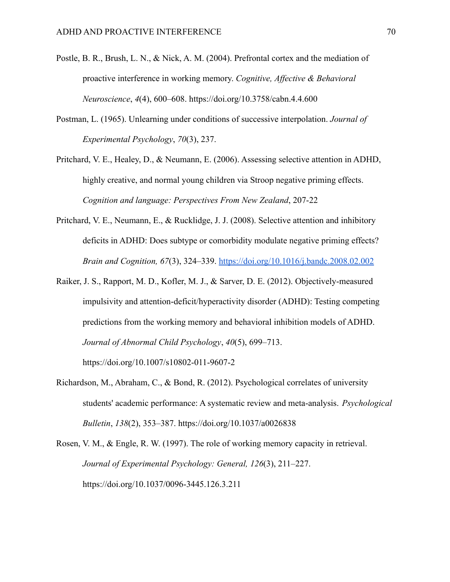- Postle, B. R., Brush, L. N., & Nick, A. M. (2004). Prefrontal cortex and the mediation of proactive interference in working memory. *Cognitive, Affective & Behavioral Neuroscience*, *4*(4), 600–608. https://doi.org/10.3758/cabn.4.4.600
- Postman, L. (1965). Unlearning under conditions of successive interpolation. *Journal of Experimental Psychology*, *70*(3), 237.
- Pritchard, V. E., Healey, D., & Neumann, E. (2006). Assessing selective attention in ADHD, highly creative, and normal young children via Stroop negative priming effects. *Cognition and language: Perspectives From New Zealand*, 207-22
- Pritchard, V. E., Neumann, E., & Rucklidge, J. J. (2008). Selective attention and inhibitory deficits in ADHD: Does subtype or comorbidity modulate negative priming effects? *Brain and Cognition, 67*(3), 324–339. <https://doi.org/10.1016/j.bandc.2008.02.002>
- Raiker, J. S., Rapport, M. D., Kofler, M. J., & Sarver, D. E. (2012). Objectively-measured impulsivity and attention-deficit/hyperactivity disorder (ADHD): Testing competing predictions from the working memory and behavioral inhibition models of ADHD. *Journal of Abnormal Child Psychology*, *40*(5), 699–713.
	- https://doi.org/10.1007/s10802-011-9607-2
- Richardson, M., Abraham, C., & Bond, R. (2012). Psychological correlates of university students' academic performance: A systematic review and meta-analysis. *Psychological Bulletin*, *138*(2), 353–387. https://doi.org/10.1037/a0026838
- Rosen, V. M., & Engle, R. W. (1997). The role of working memory capacity in retrieval. *Journal of Experimental Psychology: General, 126*(3), 211–227. [https://doi.org/10.1037/0096-3445.126.3.211](https://psycnet.apa.org/doi/10.1037/0096-3445.126.3.211)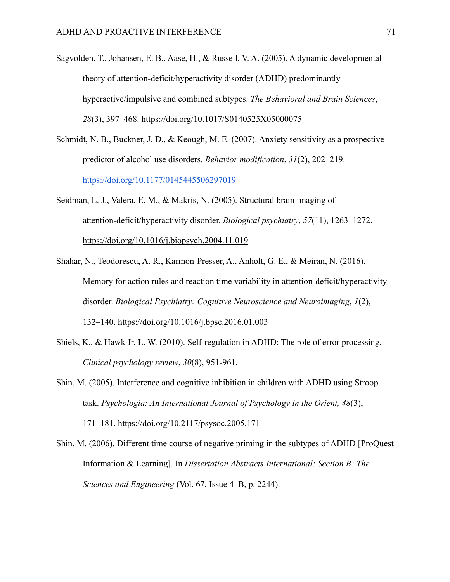- Sagvolden, T., Johansen, E. B., Aase, H., & Russell, V. A. (2005). A dynamic developmental theory of attention-deficit/hyperactivity disorder (ADHD) predominantly hyperactive/impulsive and combined subtypes. *The Behavioral and Brain Sciences*, *28*(3), 397–468. https://doi.org/10.1017/S0140525X05000075
- Schmidt, N. B., Buckner, J. D., & Keough, M. E. (2007). Anxiety sensitivity as a prospective predictor of alcohol use disorders. *Behavior modification*, *31*(2), 202–219. <https://doi.org/10.1177/0145445506297019>
- Seidman, L. J., Valera, E. M., & Makris, N. (2005). Structural brain imaging of attention-deficit/hyperactivity disorder. *Biological psychiatry*, *57*(11), 1263–1272. <https://doi.org/10.1016/j.biopsych.2004.11.019>
- Shahar, N., Teodorescu, A. R., Karmon-Presser, A., Anholt, G. E., & Meiran, N. (2016). Memory for action rules and reaction time variability in attention-deficit/hyperactivity disorder. *Biological Psychiatry: Cognitive Neuroscience and Neuroimaging*, *1*(2), 132–140. https://doi.org/10.1016/j.bpsc.2016.01.003
- Shiels, K., & Hawk Jr, L. W. (2010). Self-regulation in ADHD: The role of error processing. *Clinical psychology review*, *30*(8), 951-961.
- Shin, M. (2005). Interference and cognitive inhibition in children with ADHD using Stroop task. *Psychologia: An International Journal of Psychology in the Orient, 48*(3), 171–181. https://doi.org/10.2117/psysoc.2005.171
- Shin, M. (2006). Different time course of negative priming in the subtypes of ADHD [ProQuest Information & Learning]. In *Dissertation Abstracts International: Section B: The Sciences and Engineering* (Vol. 67, Issue 4–B, p. 2244).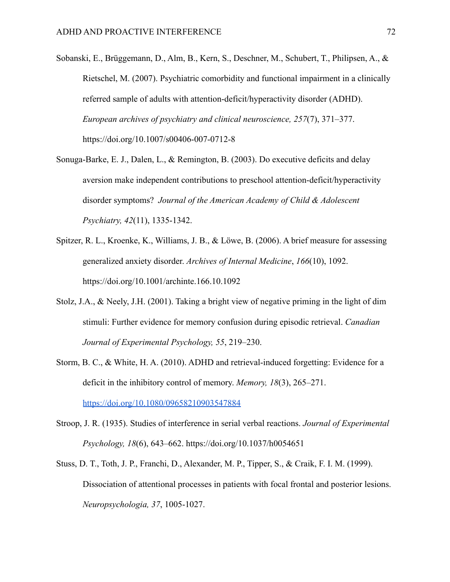- Sobanski, E., Brüggemann, D., Alm, B., Kern, S., Deschner, M., Schubert, T., Philipsen, A., & Rietschel, M. (2007). Psychiatric comorbidity and functional impairment in a clinically referred sample of adults with attention-deficit/hyperactivity disorder (ADHD). *European archives of psychiatry and clinical neuroscience, 257*(7), 371–377. https://doi.org/10.1007/s00406-007-0712-8
- Sonuga-Barke, E. J., Dalen, L., & Remington, B. (2003). Do executive deficits and delay aversion make independent contributions to preschool attention-deficit/hyperactivity disorder symptoms? *Journal of the American Academy of Child & Adolescent Psychiatry, 42*(11), 1335-1342.
- Spitzer, R. L., Kroenke, K., Williams, J. B., & Löwe, B. (2006). A brief measure for assessing generalized anxiety disorder. *Archives of Internal Medicine*, *166*(10), 1092. https://doi.org/10.1001/archinte.166.10.1092
- Stolz, J.A., & Neely, J.H. (2001). Taking a bright view of negative priming in the light of dim stimuli: Further evidence for memory confusion during episodic retrieval. *Canadian Journal of Experimental Psychology, 55*, 219–230.
- Storm, B. C., & White, H. A. (2010). ADHD and retrieval-induced forgetting: Evidence for a deficit in the inhibitory control of memory. *Memory, 18*(3), 265–271. <https://doi.org/10.1080/09658210903547884>
- Stroop, J. R. (1935). Studies of interference in serial verbal reactions. *Journal of Experimental Psychology, 18*(6), 643–662. [https://doi.org/10.1037/h0054651](https://psycnet.apa.org/doi/10.1037/h0054651)
- Stuss, D. T., Toth, J. P., Franchi, D., Alexander, M. P., Tipper, S., & Craik, F. I. M. (1999). Dissociation of attentional processes in patients with focal frontal and posterior lesions. *Neuropsychologia, 37*, 1005-1027.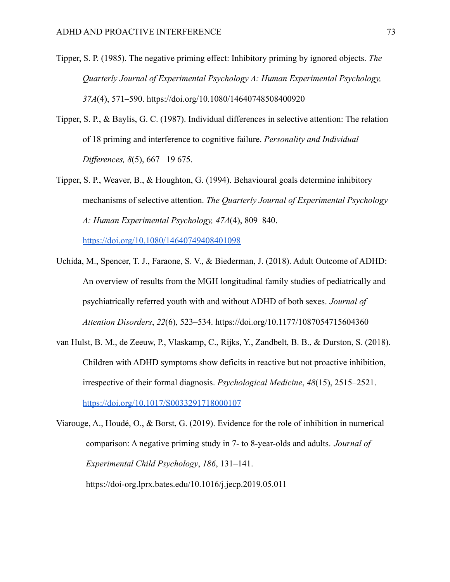- Tipper, S. P. (1985). The negative priming effect: Inhibitory priming by ignored objects. *The Quarterly Journal of Experimental Psychology A: Human Experimental Psychology, 37A*(4), 571–590. [https://doi.org/10.1080/14640748508400920](https://psycnet.apa.org/doi/10.1080/14640748508400920)
- Tipper, S. P., & Baylis, G. C. (1987). Individual differences in selective attention: The relation of 18 priming and interference to cognitive failure. *Personality and Individual Differences, 8*(5), 667– 19 675.
- Tipper, S. P., Weaver, B., & Houghton, G. (1994). Behavioural goals determine inhibitory mechanisms of selective attention. *The Quarterly Journal of Experimental Psychology A: Human Experimental Psychology, 47A*(4), 809–840.

[https://doi.org/10.1080/14640749408401098](https://psycnet.apa.org/doi/10.1080/14640749408401098)

- Uchida, M., Spencer, T. J., Faraone, S. V., & Biederman, J. (2018). Adult Outcome of ADHD: An overview of results from the MGH longitudinal family studies of pediatrically and psychiatrically referred youth with and without ADHD of both sexes. *Journal of Attention Disorders*, *22*(6), 523–534. https://doi.org/10.1177/1087054715604360
- van Hulst, B. M., de Zeeuw, P., Vlaskamp, C., Rijks, Y., Zandbelt, B. B., & Durston, S. (2018). Children with ADHD symptoms show deficits in reactive but not proactive inhibition, irrespective of their formal diagnosis. *Psychological Medicine*, *48*(15), 2515–2521. <https://doi.org/10.1017/S0033291718000107>

Viarouge, A., Houdé, O., & Borst, G. (2019). Evidence for the role of inhibition in numerical comparison: A negative priming study in 7- to 8-year-olds and adults. *Journal of Experimental Child Psychology*, *186*, 131–141. https://doi-org.lprx.bates.edu/10.1016/j.jecp.2019.05.011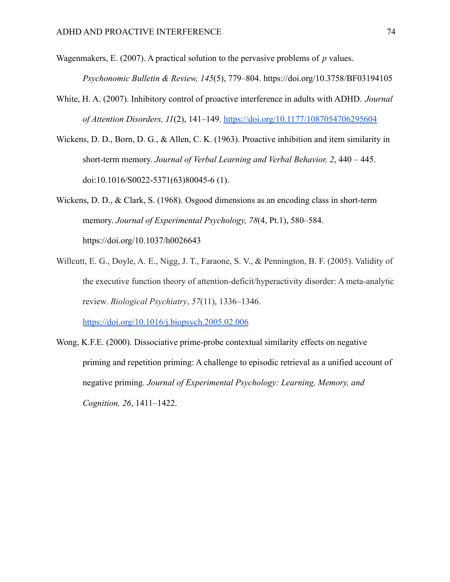Wagenmakers, E. (2007). A practical solution to the pervasive problems of *p* values.

*Psychonomic Bulletin & Review, 145*(5), 779–804. <https://doi.org/10.3758/BF03194105>

- White, H. A. (2007). Inhibitory control of proactive interference in adults with ADHD. *Journal of Attention Disorders, 11*(2), 141–149. <https://doi.org/10.1177/1087054706295604>
- Wickens, D. D., Born, D. G., & Allen, C. K. (1963). Proactive inhibition and item similarity in short-term memory. *Journal of Verbal Learning and Verbal Behavior, 2*, 440 – 445. doi:10.1016/S0022-5371(63)80045-6 (1).

Wickens, D. D., & Clark, S. (1968). Osgood dimensions as an encoding class in short-term memory. *Journal of Experimental Psychology, 78*(4, Pt.1), 580–584. [https://doi.org/10.1037/h0026643](https://psycnet.apa.org/doi/10.1037/h0026643)

- Willcutt, E. G., Doyle, A. E., Nigg, J. T., Faraone, S. V., & Pennington, B. F. (2005). Validity of the executive function theory of attention-deficit/hyperactivity disorder: A meta-analytic review. *Biological Psychiatry*, *57*(11), 1336–1346. <https://doi.org/10.1016/j.biopsych.2005.02.006>
- Wong, K.F.E. (2000). Dissociative prime-probe contextual similarity effects on negative priming and repetition priming: A challenge to episodic retrieval as a unified account of negative priming. *Journal of Experimental Psychology: Learning, Memory, and Cognition, 26*, 1411–1422.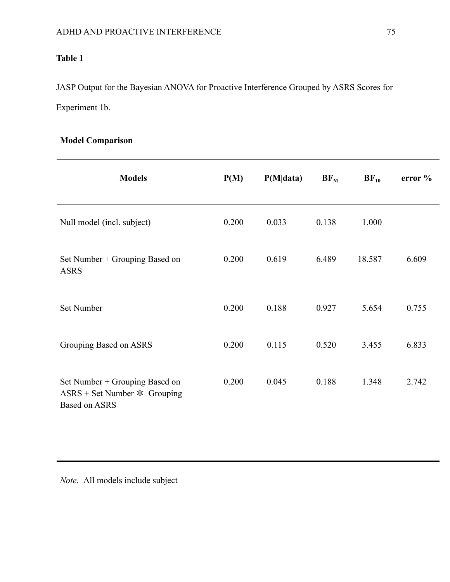# **Table 1**

JASP Output for the Bayesian ANOVA for Proactive Interference Grouped by ASRS Scores for Experiment 1b.

| <b>Model Comparison</b> |
|-------------------------|
|-------------------------|

| <b>Models</b>                                                                            | P(M)  | P(M data) | $BF_M$ | $BF_{10}$ | error $\%$ |
|------------------------------------------------------------------------------------------|-------|-----------|--------|-----------|------------|
| Null model (incl. subject)                                                               | 0.200 | 0.033     | 0.138  | 1.000     |            |
| Set Number + Grouping Based on<br><b>ASRS</b>                                            | 0.200 | 0.619     | 6.489  | 18.587    | 6.609      |
| Set Number                                                                               | 0.200 | 0.188     | 0.927  | 5.654     | 0.755      |
| Grouping Based on ASRS                                                                   | 0.200 | 0.115     | 0.520  | 3.455     | 6.833      |
| Set Number + Grouping Based on<br>$ASRS + Set Number * Grouping$<br><b>Based on ASRS</b> | 0.200 | 0.045     | 0.188  | 1.348     | 2.742      |

*Note.* All models include subject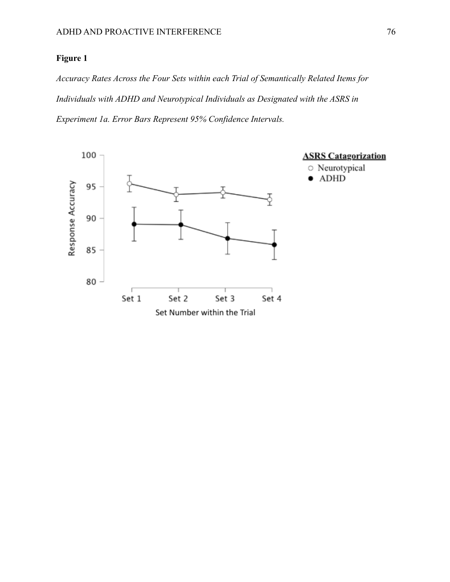### **Figure 1**

*Accuracy Rates Across the Four Sets within each Trial of Semantically Related Items for Individuals with ADHD and Neurotypical Individuals as Designated with the ASRS in Experiment 1a. Error Bars Represent 95% Confidence Intervals.*

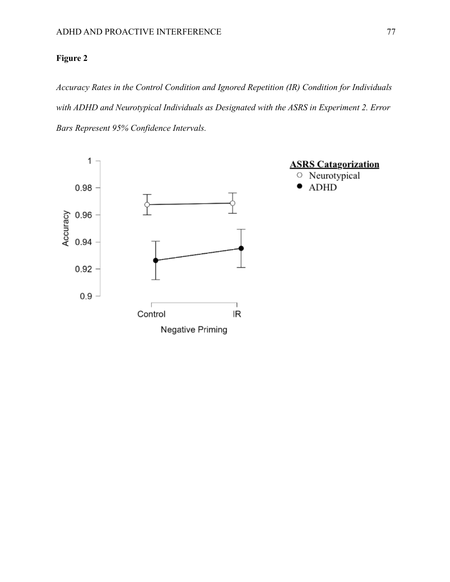## **Figure 2**

*Accuracy Rates in the Control Condition and Ignored Repetition (IR) Condition for Individuals with ADHD and Neurotypical Individuals as Designated with the ASRS in Experiment 2. Error Bars Represent 95% Confidence Intervals.*

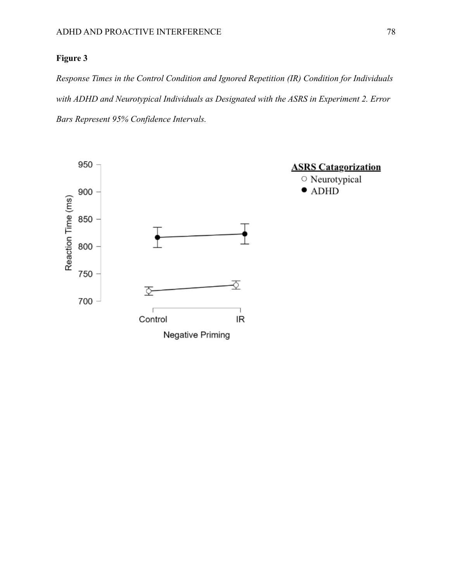### **Figure 3**

*Response Times in the Control Condition and Ignored Repetition (IR) Condition for Individuals with ADHD and Neurotypical Individuals as Designated with the ASRS in Experiment 2. Error Bars Represent 95% Confidence Intervals.*

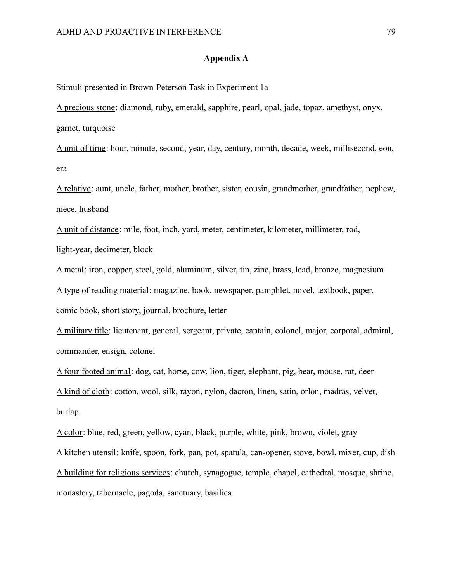#### **Appendix A**

Stimuli presented in Brown-Peterson Task in Experiment 1a

A precious stone: diamond, ruby, emerald, sapphire, pearl, opal, jade, topaz, amethyst, onyx, garnet, turquoise

A unit of time: hour, minute, second, year, day, century, month, decade, week, millisecond, eon, era

A relative: aunt, uncle, father, mother, brother, sister, cousin, grandmother, grandfather, nephew, niece, husband

A unit of distance: mile, foot, inch, yard, meter, centimeter, kilometer, millimeter, rod, light-year, decimeter, block

A metal: iron, copper, steel, gold, aluminum, silver, tin, zinc, brass, lead, bronze, magnesium A type of reading material: magazine, book, newspaper, pamphlet, novel, textbook, paper, comic book, short story, journal, brochure, letter

A military title: lieutenant, general, sergeant, private, captain, colonel, major, corporal, admiral, commander, ensign, colonel

A four-footed animal: dog, cat, horse, cow, lion, tiger, elephant, pig, bear, mouse, rat, deer A kind of cloth: cotton, wool, silk, rayon, nylon, dacron, linen, satin, orlon, madras, velvet, burlap

A color: blue, red, green, yellow, cyan, black, purple, white, pink, brown, violet, gray

A kitchen utensil: knife, spoon, fork, pan, pot, spatula, can-opener, stove, bowl, mixer, cup, dish A building for religious services: church, synagogue, temple, chapel, cathedral, mosque, shrine, monastery, tabernacle, pagoda, sanctuary, basilica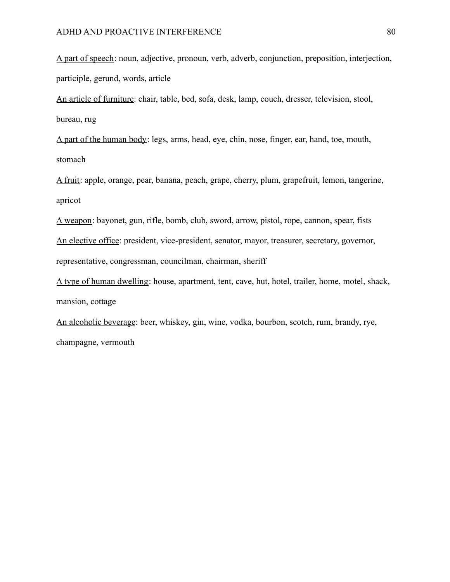A part of speech: noun, adjective, pronoun, verb, adverb, conjunction, preposition, interjection, participle, gerund, words, article

An article of furniture: chair, table, bed, sofa, desk, lamp, couch, dresser, television, stool, bureau, rug

A part of the human body: legs, arms, head, eye, chin, nose, finger, ear, hand, toe, mouth, stomach

A fruit: apple, orange, pear, banana, peach, grape, cherry, plum, grapefruit, lemon, tangerine, apricot

A weapon: bayonet, gun, rifle, bomb, club, sword, arrow, pistol, rope, cannon, spear, fists An elective office: president, vice-president, senator, mayor, treasurer, secretary, governor, representative, congressman, councilman, chairman, sheriff

A type of human dwelling: house, apartment, tent, cave, hut, hotel, trailer, home, motel, shack, mansion, cottage

An alcoholic beverage: beer, whiskey, gin, wine, vodka, bourbon, scotch, rum, brandy, rye, champagne, vermouth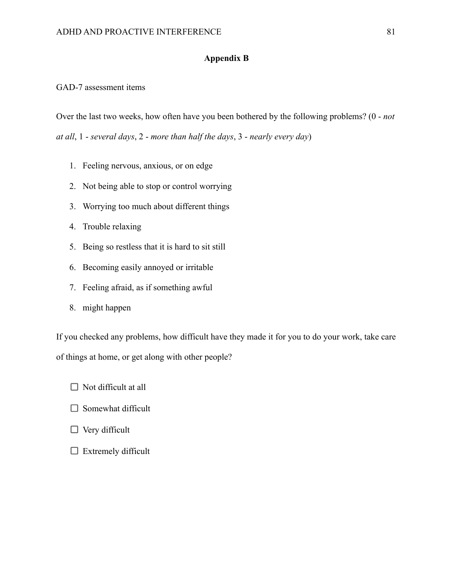### **Appendix B**

GAD-7 assessment items

Over the last two weeks, how often have you been bothered by the following problems? (0 - *not at all*, 1 - *several days*, 2 - *more than half the days*, 3 - *nearly every day*)

- 1. Feeling nervous, anxious, or on edge
- 2. Not being able to stop or control worrying
- 3. Worrying too much about different things
- 4. Trouble relaxing
- 5. Being so restless that it is hard to sit still
- 6. Becoming easily annoyed or irritable
- 7. Feeling afraid, as if something awful
- 8. might happen

If you checked any problems, how difficult have they made it for you to do your work, take care of things at home, or get along with other people?

- $\Box$  Not difficult at all
- $\Box$  Somewhat difficult
- $\Box$  Very difficult
- $\Box$  Extremely difficult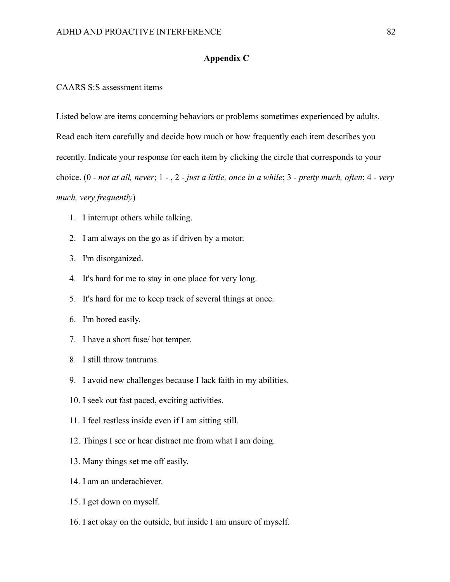#### **Appendix C**

CAARS S:S assessment items

Listed below are items concerning behaviors or problems sometimes experienced by adults. Read each item carefully and decide how much or how frequently each item describes you recently. Indicate your response for each item by clicking the circle that corresponds to your choice. (0 - *not at all, never*; 1 - , 2 - *just a little, once in a while*; 3 - *pretty much, often*; 4 - *very much, very frequently*)

- 1. I interrupt others while talking.
- 2. I am always on the go as if driven by a motor.
- 3. I'm disorganized.
- 4. It's hard for me to stay in one place for very long.
- 5. It's hard for me to keep track of several things at once.
- 6. I'm bored easily.
- 7. I have a short fuse/ hot temper.
- 8. I still throw tantrums.
- 9. I avoid new challenges because I lack faith in my abilities.
- 10. I seek out fast paced, exciting activities.
- 11. I feel restless inside even if I am sitting still.
- 12. Things I see or hear distract me from what I am doing.
- 13. Many things set me off easily.
- 14. I am an underachiever.
- 15. I get down on myself.
- 16. I act okay on the outside, but inside I am unsure of myself.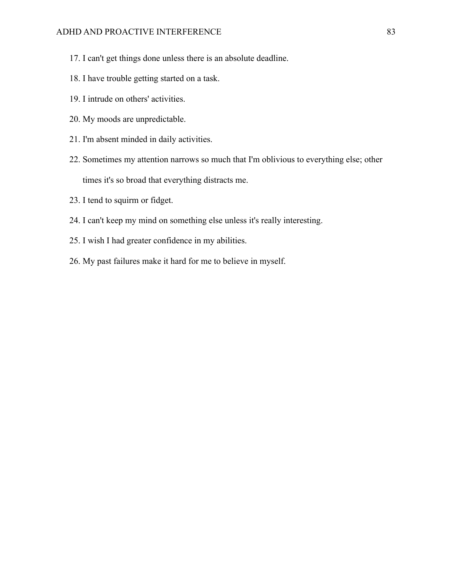- 17. I can't get things done unless there is an absolute deadline.
- 18. I have trouble getting started on a task.
- 19. I intrude on others' activities.
- 20. My moods are unpredictable.
- 21. I'm absent minded in daily activities.
- 22. Sometimes my attention narrows so much that I'm oblivious to everything else; other times it's so broad that everything distracts me.
- 23. I tend to squirm or fidget.
- 24. I can't keep my mind on something else unless it's really interesting.
- 25. I wish I had greater confidence in my abilities.
- 26. My past failures make it hard for me to believe in myself.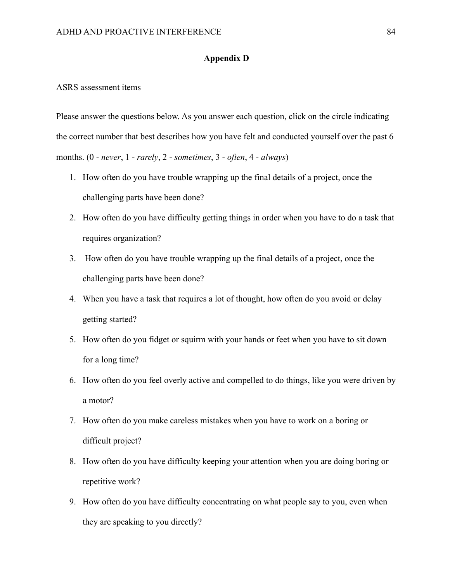#### **Appendix D**

#### ASRS assessment items

Please answer the questions below. As you answer each question, click on the circle indicating the correct number that best describes how you have felt and conducted yourself over the past 6 months. (0 - *never*, 1 - *rarely*, 2 - *sometimes*, 3 - *often*, 4 - *always*)

- 1. How often do you have trouble wrapping up the final details of a project, once the challenging parts have been done?
- 2. How often do you have difficulty getting things in order when you have to do a task that requires organization?
- 3. How often do you have trouble wrapping up the final details of a project, once the challenging parts have been done?
- 4. When you have a task that requires a lot of thought, how often do you avoid or delay getting started?
- 5. How often do you fidget or squirm with your hands or feet when you have to sit down for a long time?
- 6. How often do you feel overly active and compelled to do things, like you were driven by a motor?
- 7. How often do you make careless mistakes when you have to work on a boring or difficult project?
- 8. How often do you have difficulty keeping your attention when you are doing boring or repetitive work?
- 9. How often do you have difficulty concentrating on what people say to you, even when they are speaking to you directly?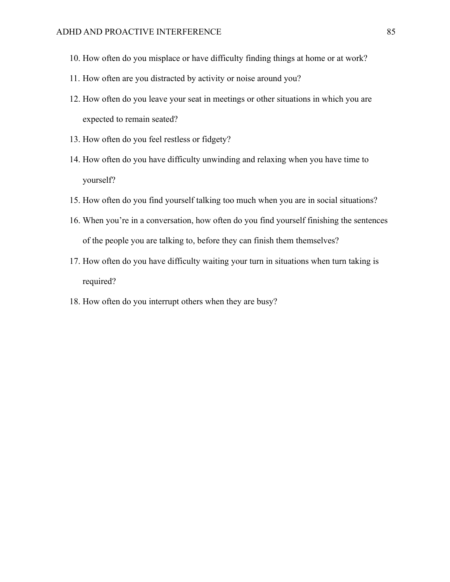- 10. How often do you misplace or have difficulty finding things at home or at work?
- 11. How often are you distracted by activity or noise around you?
- 12. How often do you leave your seat in meetings or other situations in which you are expected to remain seated?
- 13. How often do you feel restless or fidgety?
- 14. How often do you have difficulty unwinding and relaxing when you have time to yourself?
- 15. How often do you find yourself talking too much when you are in social situations?
- 16. When you're in a conversation, how often do you find yourself finishing the sentences of the people you are talking to, before they can finish them themselves?
- 17. How often do you have difficulty waiting your turn in situations when turn taking is required?
- 18. How often do you interrupt others when they are busy?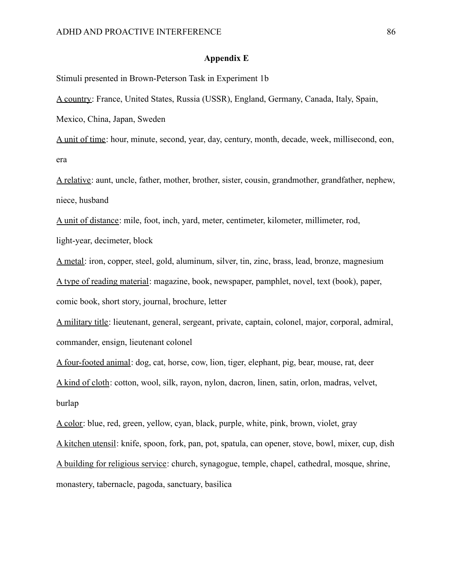#### **Appendix E**

Stimuli presented in Brown-Peterson Task in Experiment 1b

A country: France, United States, Russia (USSR), England, Germany, Canada, Italy, Spain,

Mexico, China, Japan, Sweden

A unit of time: hour, minute, second, year, day, century, month, decade, week, millisecond, eon, era

A relative: aunt, uncle, father, mother, brother, sister, cousin, grandmother, grandfather, nephew, niece, husband

A unit of distance: mile, foot, inch, yard, meter, centimeter, kilometer, millimeter, rod, light-year, decimeter, block

A metal: iron, copper, steel, gold, aluminum, silver, tin, zinc, brass, lead, bronze, magnesium A type of reading material: magazine, book, newspaper, pamphlet, novel, text (book), paper, comic book, short story, journal, brochure, letter

A military title: lieutenant, general, sergeant, private, captain, colonel, major, corporal, admiral, commander, ensign, lieutenant colonel

A four-footed animal: dog, cat, horse, cow, lion, tiger, elephant, pig, bear, mouse, rat, deer A kind of cloth: cotton, wool, silk, rayon, nylon, dacron, linen, satin, orlon, madras, velvet, burlap

A color: blue, red, green, yellow, cyan, black, purple, white, pink, brown, violet, gray

A kitchen utensil: knife, spoon, fork, pan, pot, spatula, can opener, stove, bowl, mixer, cup, dish

A building for religious service: church, synagogue, temple, chapel, cathedral, mosque, shrine,

monastery, tabernacle, pagoda, sanctuary, basilica